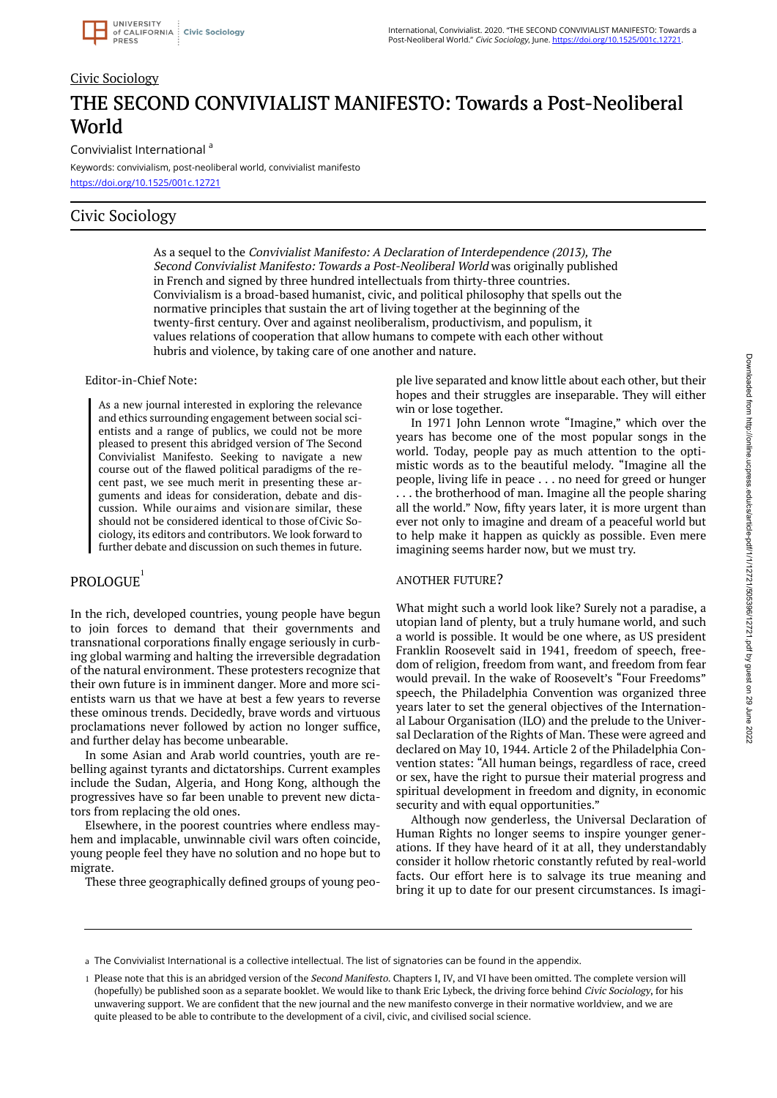

# Civic Sociology

# THE SECOND CONVIVIALIST MANIFESTO: Towards a Post-Neoliberal World

Convivialist International<sup>a</sup>

Keywords: convivialism, post-neoliberal world, convivialist manifesto <https://doi.org/10.1525/001c.12721>

# Civic Sociology

As a sequel to the Convivialist Manifesto: A Declaration of Interdependence (2013), The Second Convivialist Manifesto: Towards a Post-Neoliberal World was originally published in French and signed by three hundred intellectuals from thirty-three countries. Convivialism is a broad-based humanist, civic, and political philosophy that spells out the normative principles that sustain the art of living together at the beginning of the twenty-first century. Over and against neoliberalism, productivism, and populism, it values relations of cooperation that allow humans to compete with each other without hubris and violence, by taking care of one another and nature.

#### Editor-in-Chief Note:

As a new journal interested in exploring the relevance and ethics surrounding engagement between social scientists and a range of publics, we could not be more pleased to present this abridged version of The Second Convivialist Manifesto. Seeking to navigate a new course out of the flawed political paradigms of the recent past, we see much merit in presenting these arguments and ideas for consideration, debate and discussion. While ouraims and visionare similar, these should not be considered identical to those ofCivic Sociology, its editors and contributors. We look forward to further debate and discussion on such themes in future.

# $\texttt{PROLOGUE}^1$

In the rich, developed countries, young people have begun to join forces to demand that their governments and transnational corporations finally engage seriously in curbing global warming and halting the irreversible degradation of the natural environment. These protesters recognize that their own future is in imminent danger. More and more scientists warn us that we have at best a few years to reverse these ominous trends. Decidedly, brave words and virtuous proclamations never followed by action no longer suffice, and further delay has become unbearable.

In some Asian and Arab world countries, youth are rebelling against tyrants and dictatorships. Current examples include the Sudan, Algeria, and Hong Kong, although the progressives have so far been unable to prevent new dictators from replacing the old ones.

Elsewhere, in the poorest countries where endless mayhem and implacable, unwinnable civil wars often coincide, young people feel they have no solution and no hope but to migrate.

These three geographically defined groups of young peo-

ple live separated and know little about each other, but their hopes and their struggles are inseparable. They will either win or lose together.

In 1971 John Lennon wrote "Imagine," which over the years has become one of the most popular songs in the world. Today, people pay as much attention to the optimistic words as to the beautiful melody. "Imagine all the people, living life in peace . . . no need for greed or hunger . . . the brotherhood of man. Imagine all the people sharing all the world." Now, fifty years later, it is more urgent than ever not only to imagine and dream of a peaceful world but to help make it happen as quickly as possible. Even mere imagining seems harder now, but we must try.

#### ANOTHER FUTURE?

What might such a world look like? Surely not a paradise, a utopian land of plenty, but a truly humane world, and such a world is possible. It would be one where, as US president Franklin Roosevelt said in 1941, freedom of speech, freedom of religion, freedom from want, and freedom from fear would prevail. In the wake of Roosevelt's "Four Freedoms" speech, the Philadelphia Convention was organized three years later to set the general objectives of the International Labour Organisation (ILO) and the prelude to the Universal Declaration of the Rights of Man. These were agreed and declared on May 10, 1944. Article 2 of the Philadelphia Convention states: "All human beings, regardless of race, creed or sex, have the right to pursue their material progress and spiritual development in freedom and dignity, in economic security and with equal opportunities."

Although now genderless, the Universal Declaration of Human Rights no longer seems to inspire younger generations. If they have heard of it at all, they understandably consider it hollow rhetoric constantly refuted by real-world facts. Our effort here is to salvage its true meaning and bring it up to date for our present circumstances. Is imagi-

The Convivialist International is a collective intellectual. The list of signatories can be found in the appendix. a

<sup>1</sup> Please note that this is an abridged version of the *Second Manifesto*. Chapters I, IV, and VI have been omitted. The complete version will (hopefully) be published soon as a separate booklet. We would like to thank Eric Lybeck, the driving force behind Civic Sociology, for his unwavering support. We are confident that the new journal and the new manifesto converge in their normative worldview, and we are quite pleased to be able to contribute to the development of a civil, civic, and civilised social science.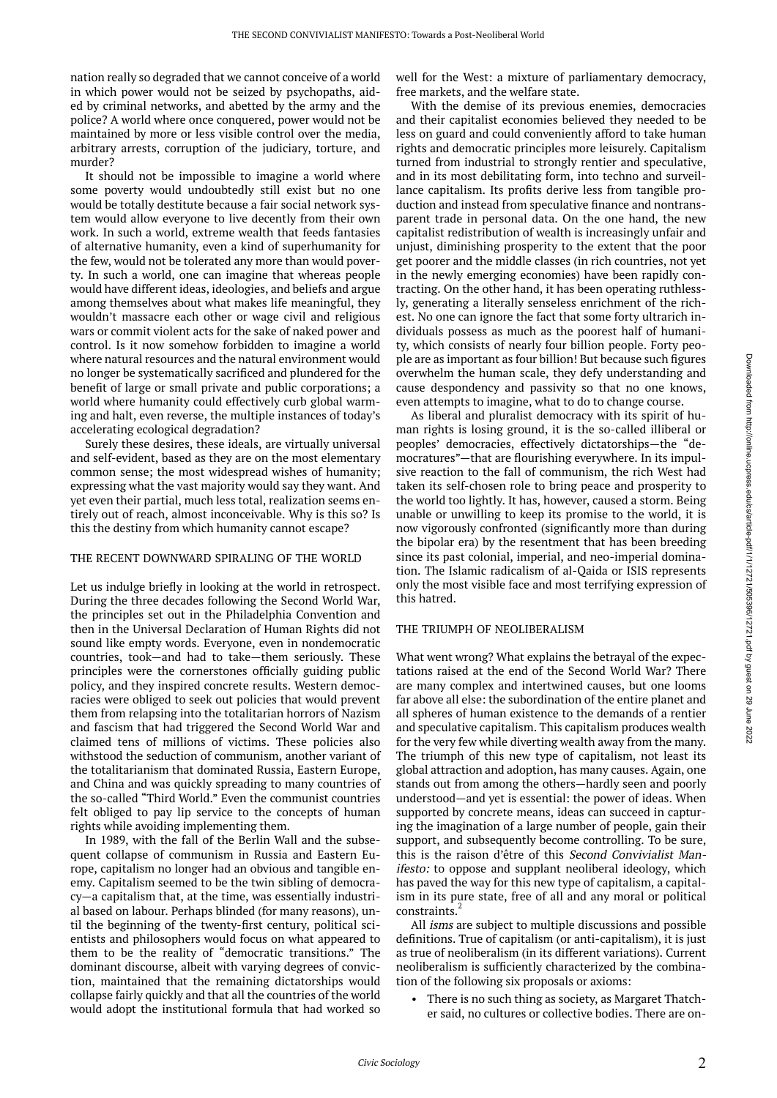nation really so degraded that we cannot conceive of a world in which power would not be seized by psychopaths, aided by criminal networks, and abetted by the army and the police? A world where once conquered, power would not be maintained by more or less visible control over the media, arbitrary arrests, corruption of the judiciary, torture, and murder?

It should not be impossible to imagine a world where some poverty would undoubtedly still exist but no one would be totally destitute because a fair social network system would allow everyone to live decently from their own work. In such a world, extreme wealth that feeds fantasies of alternative humanity, even a kind of superhumanity for the few, would not be tolerated any more than would poverty. In such a world, one can imagine that whereas people would have different ideas, ideologies, and beliefs and argue among themselves about what makes life meaningful, they wouldn't massacre each other or wage civil and religious wars or commit violent acts for the sake of naked power and control. Is it now somehow forbidden to imagine a world where natural resources and the natural environment would no longer be systematically sacrificed and plundered for the benefit of large or small private and public corporations; a world where humanity could effectively curb global warming and halt, even reverse, the multiple instances of today's accelerating ecological degradation?

Surely these desires, these ideals, are virtually universal and self-evident, based as they are on the most elementary common sense; the most widespread wishes of humanity; expressing what the vast majority would say they want. And yet even their partial, much less total, realization seems entirely out of reach, almost inconceivable. Why is this so? Is this the destiny from which humanity cannot escape?

#### THE RECENT DOWNWARD SPIRALING OF THE WORLD

Let us indulge briefly in looking at the world in retrospect. During the three decades following the Second World War, the principles set out in the Philadelphia Convention and then in the Universal Declaration of Human Rights did not sound like empty words. Everyone, even in nondemocratic countries, took—and had to take—them seriously. These principles were the cornerstones officially guiding public policy, and they inspired concrete results. Western democracies were obliged to seek out policies that would prevent them from relapsing into the totalitarian horrors of Nazism and fascism that had triggered the Second World War and claimed tens of millions of victims. These policies also withstood the seduction of communism, another variant of the totalitarianism that dominated Russia, Eastern Europe, and China and was quickly spreading to many countries of the so-called "Third World." Even the communist countries felt obliged to pay lip service to the concepts of human rights while avoiding implementing them.

In 1989, with the fall of the Berlin Wall and the subsequent collapse of communism in Russia and Eastern Europe, capitalism no longer had an obvious and tangible enemy. Capitalism seemed to be the twin sibling of democracy—a capitalism that, at the time, was essentially industrial based on labour. Perhaps blinded (for many reasons), until the beginning of the twenty-first century, political scientists and philosophers would focus on what appeared to them to be the reality of "democratic transitions." The dominant discourse, albeit with varying degrees of conviction, maintained that the remaining dictatorships would collapse fairly quickly and that all the countries of the world would adopt the institutional formula that had worked so

well for the West: a mixture of parliamentary democracy, free markets, and the welfare state.

With the demise of its previous enemies, democracies and their capitalist economies believed they needed to be less on guard and could conveniently afford to take human rights and democratic principles more leisurely. Capitalism turned from industrial to strongly rentier and speculative, and in its most debilitating form, into techno and surveillance capitalism. Its profits derive less from tangible production and instead from speculative finance and nontransparent trade in personal data. On the one hand, the new capitalist redistribution of wealth is increasingly unfair and unjust, diminishing prosperity to the extent that the poor get poorer and the middle classes (in rich countries, not yet in the newly emerging economies) have been rapidly contracting. On the other hand, it has been operating ruthlessly, generating a literally senseless enrichment of the richest. No one can ignore the fact that some forty ultrarich individuals possess as much as the poorest half of humanity, which consists of nearly four billion people. Forty people are as important as four billion! But because such figures overwhelm the human scale, they defy understanding and cause despondency and passivity so that no one knows, even attempts to imagine, what to do to change course.

As liberal and pluralist democracy with its spirit of human rights is losing ground, it is the so-called illiberal or peoples' democracies, effectively dictatorships—the "democratures"—that are flourishing everywhere. In its impulsive reaction to the fall of communism, the rich West had taken its self-chosen role to bring peace and prosperity to the world too lightly. It has, however, caused a storm. Being unable or unwilling to keep its promise to the world, it is now vigorously confronted (significantly more than during the bipolar era) by the resentment that has been breeding since its past colonial, imperial, and neo-imperial domination. The Islamic radicalism of al-Qaida or ISIS represents only the most visible face and most terrifying expression of this hatred.

#### THE TRIUMPH OF NEOLIBERALISM

What went wrong? What explains the betrayal of the expectations raised at the end of the Second World War? There are many complex and intertwined causes, but one looms far above all else: the subordination of the entire planet and all spheres of human existence to the demands of a rentier and speculative capitalism. This capitalism produces wealth for the very few while diverting wealth away from the many. The triumph of this new type of capitalism, not least its global attraction and adoption, has many causes. Again, one stands out from among the others—hardly seen and poorly understood—and yet is essential: the power of ideas. When supported by concrete means, ideas can succeed in capturing the imagination of a large number of people, gain their support, and subsequently become controlling. To be sure, this is the raison d'être of this Second Convivialist Manifesto: to oppose and supplant neoliberal ideology, which has paved the way for this new type of capitalism, a capitalism in its pure state, free of all and any moral or political constraints.<sup>4</sup>

All *isms* are subject to multiple discussions and possible definitions. True of capitalism (or anti-capitalism), it is just as true of neoliberalism (in its different variations). Current neoliberalism is sufficiently characterized by the combination of the following six proposals or axioms:

• There is no such thing as society, as Margaret Thatcher said, no cultures or collective bodies. There are on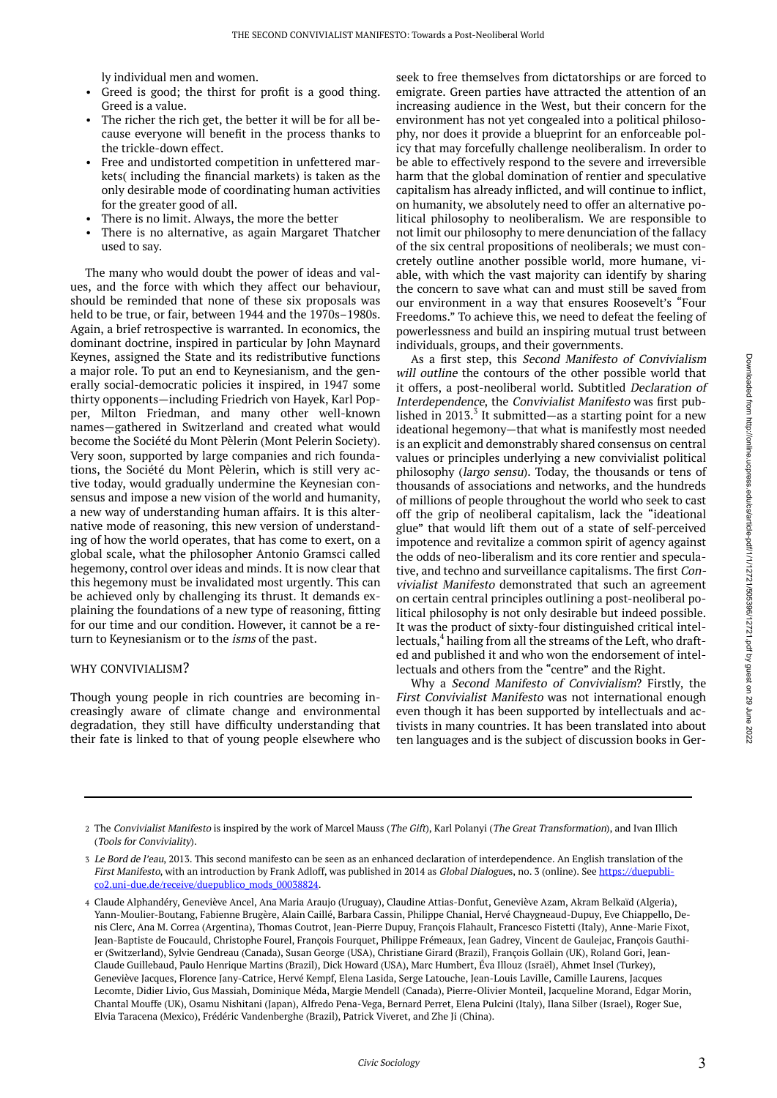ly individual men and women.

- Greed is good; the thirst for profit is a good thing. Greed is a value.
- The richer the rich get, the better it will be for all because everyone will benefit in the process thanks to the trickle-down effect.
- Free and undistorted competition in unfettered markets( including the financial markets) is taken as the only desirable mode of coordinating human activities for the greater good of all.
- There is no limit. Always, the more the better
- There is no alternative, as again Margaret Thatcher used to say.

The many who would doubt the power of ideas and values, and the force with which they affect our behaviour, should be reminded that none of these six proposals was held to be true, or fair, between 1944 and the 1970s–1980s. Again, a brief retrospective is warranted. In economics, the dominant doctrine, inspired in particular by John Maynard Keynes, assigned the State and its redistributive functions a major role. To put an end to Keynesianism, and the generally social-democratic policies it inspired, in 1947 some thirty opponents—including Friedrich von Hayek, Karl Popper, Milton Friedman, and many other well-known names—gathered in Switzerland and created what would become the Société du Mont Pèlerin (Mont Pelerin Society). Very soon, supported by large companies and rich foundations, the Société du Mont Pèlerin, which is still very active today, would gradually undermine the Keynesian consensus and impose a new vision of the world and humanity, a new way of understanding human affairs. It is this alternative mode of reasoning, this new version of understanding of how the world operates, that has come to exert, on a global scale, what the philosopher Antonio Gramsci called hegemony, control over ideas and minds. It is now clear that this hegemony must be invalidated most urgently. This can be achieved only by challenging its thrust. It demands explaining the foundations of a new type of reasoning, fitting for our time and our condition. However, it cannot be a return to Keynesianism or to the *isms* of the past.

#### WHY CONVIVIALISM?

Though young people in rich countries are becoming increasingly aware of climate change and environmental degradation, they still have difficulty understanding that their fate is linked to that of young people elsewhere who

seek to free themselves from dictatorships or are forced to emigrate. Green parties have attracted the attention of an increasing audience in the West, but their concern for the environment has not yet congealed into a political philosophy, nor does it provide a blueprint for an enforceable policy that may forcefully challenge neoliberalism. In order to be able to effectively respond to the severe and irreversible harm that the global domination of rentier and speculative capitalism has already inflicted, and will continue to inflict, on humanity, we absolutely need to offer an alternative political philosophy to neoliberalism. We are responsible to not limit our philosophy to mere denunciation of the fallacy of the six central propositions of neoliberals; we must concretely outline another possible world, more humane, viable, with which the vast majority can identify by sharing the concern to save what can and must still be saved from our environment in a way that ensures Roosevelt's "Four Freedoms." To achieve this, we need to defeat the feeling of powerlessness and build an inspiring mutual trust between individuals, groups, and their governments.

As a first step, this Second Manifesto of Convivialism will outline the contours of the other possible world that it offers, a post-neoliberal world. Subtitled Declaration of Interdependence, the Convivialist Manifesto was first published in 2013. $3$  It submitted—as a starting point for a new ideational hegemony—that what is manifestly most needed is an explicit and demonstrably shared consensus on central values or principles underlying a new convivialist political philosophy (largo sensu). Today, the thousands or tens of thousands of associations and networks, and the hundreds of millions of people throughout the world who seek to cast off the grip of neoliberal capitalism, lack the "ideational glue" that would lift them out of a state of self-perceived impotence and revitalize a common spirit of agency against the odds of neo-liberalism and its core rentier and speculative, and techno and surveillance capitalisms. The first Convivialist Manifesto demonstrated that such an agreement on certain central principles outlining a post-neoliberal political philosophy is not only desirable but indeed possible. It was the product of sixty-four distinguished critical intellectuals,<sup>4</sup> hailing from all the streams of the Left, who drafted and published it and who won the endorsement of intellectuals and others from the "centre" and the Right.

Why a Second Manifesto of Convivialism? Firstly, the First Convivialist Manifesto was not international enough even though it has been supported by intellectuals and activists in many countries. It has been translated into about ten languages and is the subject of discussion books in Ger-

<sup>2</sup> The *Convivialist Manifesto* is inspired by the work of Marcel Mauss (*The Gift*), Karl Polanyi (*The Great Transformation*), and Ivan Illich (Tools for Conviviality).

<sup>3</sup> Le Bord de l'eau, 2013. This second manifesto can be seen as an enhanced declaration of interdependence. An English translation of the First Manifesto, with an introduction by Frank Adloff, was published in 2014 as Global Dialogues, no. 3 (online). See [https://duepubli](https://duepublico2.uni-due.de/receive/duepublico_mods_00038824)[co2.uni-due.de/receive/duepublico\\_mods\\_00038824](https://duepublico2.uni-due.de/receive/duepublico_mods_00038824).

Claude Alphandéry, Geneviève Ancel, Ana Maria Araujo (Uruguay), Claudine Attias-Donfut, Geneviève Azam, Akram Belkaïd (Algeria), 4 Yann-Moulier-Boutang, Fabienne Brugère, Alain Caillé, Barbara Cassin, Philippe Chanial, Hervé Chaygneaud-Dupuy, Eve Chiappello, Denis Clerc, Ana M. Correa (Argentina), Thomas Coutrot, Jean-Pierre Dupuy, François Flahault, Francesco Fistetti (Italy), Anne-Marie Fixot, Jean-Baptiste de Foucauld, Christophe Fourel, François Fourquet, Philippe Frémeaux, Jean Gadrey, Vincent de Gaulejac, François Gauthier (Switzerland), Sylvie Gendreau (Canada), Susan George (USA), Christiane Girard (Brazil), François Gollain (UK), Roland Gori, Jean-Claude Guillebaud, Paulo Henrique Martins (Brazil), Dick Howard (USA), Marc Humbert, Éva Illouz (Israël), Ahmet Insel (Turkey), Geneviève Jacques, Florence Jany-Catrice, Hervé Kempf, Elena Lasida, Serge Latouche, Jean-Louis Laville, Camille Laurens, Jacques Lecomte, Didier Livio, Gus Massiah, Dominique Méda, Margie Mendell (Canada), Pierre-Olivier Monteil, Jacqueline Morand, Edgar Morin, Chantal Mouffe (UK), Osamu Nishitani (Japan), Alfredo Pena-Vega, Bernard Perret, Elena Pulcini (Italy), Ilana Silber (Israel), Roger Sue, Elvia Taracena (Mexico), Frédéric Vandenberghe (Brazil), Patrick Viveret, and Zhe Ji (China).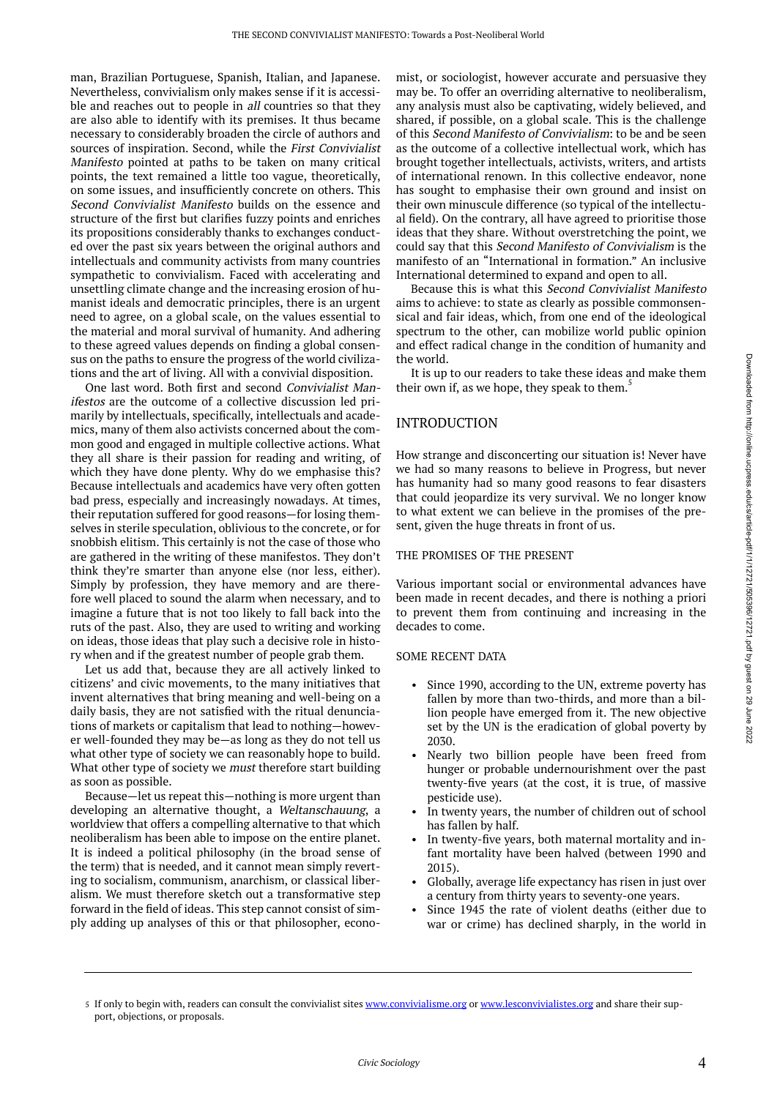man, Brazilian Portuguese, Spanish, Italian, and Japanese. Nevertheless, convivialism only makes sense if it is accessible and reaches out to people in all countries so that they are also able to identify with its premises. It thus became necessary to considerably broaden the circle of authors and sources of inspiration. Second, while the First Convivialist Manifesto pointed at paths to be taken on many critical points, the text remained a little too vague, theoretically, on some issues, and insufficiently concrete on others. This Second Convivialist Manifesto builds on the essence and structure of the first but clarifies fuzzy points and enriches its propositions considerably thanks to exchanges conducted over the past six years between the original authors and intellectuals and community activists from many countries sympathetic to convivialism. Faced with accelerating and unsettling climate change and the increasing erosion of humanist ideals and democratic principles, there is an urgent need to agree, on a global scale, on the values essential to the material and moral survival of humanity. And adhering to these agreed values depends on finding a global consensus on the paths to ensure the progress of the world civilizations and the art of living. All with a convivial disposition.

One last word. Both first and second Convivialist Manifestos are the outcome of a collective discussion led primarily by intellectuals, specifically, intellectuals and academics, many of them also activists concerned about the common good and engaged in multiple collective actions. What they all share is their passion for reading and writing, of which they have done plenty. Why do we emphasise this? Because intellectuals and academics have very often gotten bad press, especially and increasingly nowadays. At times, their reputation suffered for good reasons—for losing themselves in sterile speculation, oblivious to the concrete, or for snobbish elitism. This certainly is not the case of those who are gathered in the writing of these manifestos. They don't think they're smarter than anyone else (nor less, either). Simply by profession, they have memory and are therefore well placed to sound the alarm when necessary, and to imagine a future that is not too likely to fall back into the ruts of the past. Also, they are used to writing and working on ideas, those ideas that play such a decisive role in history when and if the greatest number of people grab them.

Let us add that, because they are all actively linked to citizens' and civic movements, to the many initiatives that invent alternatives that bring meaning and well-being on a daily basis, they are not satisfied with the ritual denunciations of markets or capitalism that lead to nothing—however well-founded they may be—as long as they do not tell us what other type of society we can reasonably hope to build. What other type of society we must therefore start building as soon as possible.

Because—let us repeat this—nothing is more urgent than developing an alternative thought, a Weltanschauung, a worldview that offers a compelling alternative to that which neoliberalism has been able to impose on the entire planet. It is indeed a political philosophy (in the broad sense of the term) that is needed, and it cannot mean simply reverting to socialism, communism, anarchism, or classical liberalism. We must therefore sketch out a transformative step forward in the field of ideas. This step cannot consist of simply adding up analyses of this or that philosopher, econo-

mist, or sociologist, however accurate and persuasive they may be. To offer an overriding alternative to neoliberalism, any analysis must also be captivating, widely believed, and shared, if possible, on a global scale. This is the challenge of this Second Manifesto of Convivialism: to be and be seen as the outcome of a collective intellectual work, which has brought together intellectuals, activists, writers, and artists of international renown. In this collective endeavor, none has sought to emphasise their own ground and insist on their own minuscule difference (so typical of the intellectual field). On the contrary, all have agreed to prioritise those ideas that they share. Without overstretching the point, we could say that this Second Manifesto of Convivialism is the manifesto of an "International in formation." An inclusive International determined to expand and open to all.

Because this is what this Second Convivialist Manifesto aims to achieve: to state as clearly as possible commonsensical and fair ideas, which, from one end of the ideological spectrum to the other, can mobilize world public opinion and effect radical change in the condition of humanity and the world.

It is up to our readers to take these ideas and make them their own if, as we hope, they speak to them. $\dot{\cdot}$ 

### INTRODUCTION

How strange and disconcerting our situation is! Never have we had so many reasons to believe in Progress, but never has humanity had so many good reasons to fear disasters that could jeopardize its very survival. We no longer know to what extent we can believe in the promises of the present, given the huge threats in front of us.

#### THE PROMISES OF THE PRESENT

Various important social or environmental advances have been made in recent decades, and there is nothing a priori to prevent them from continuing and increasing in the decades to come.

#### SOME RECENT DATA

- Since 1990, according to the UN, extreme poverty has fallen by more than two-thirds, and more than a billion people have emerged from it. The new objective set by the UN is the eradication of global poverty by 2030.
- Nearly two billion people have been freed from hunger or probable undernourishment over the past twenty-five years (at the cost, it is true, of massive pesticide use).
- In twenty years, the number of children out of school has fallen by half.
- In twenty-five years, both maternal mortality and infant mortality have been halved (between 1990 and 2015).
- Globally, average life expectancy has risen in just over a century from thirty years to seventy-one years.
- Since 1945 the rate of violent deaths (either due to war or crime) has declined sharply, in the world in

<sup>5</sup> If only to begin with, readers can consult the convivialist sites [www.convivialisme.org](http://www.convivialisme.org/) or [www.lesconvivialistes.org](http://www.lesconvivialistes.org/) and share their support, objections, or proposals.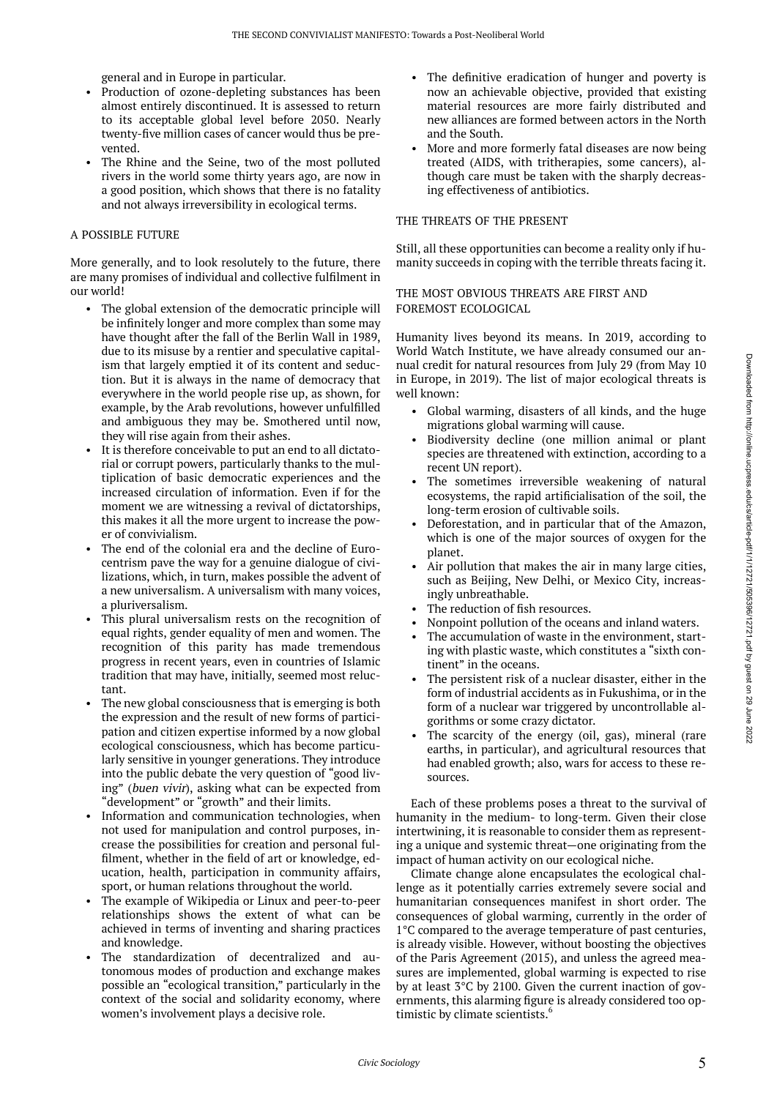general and in Europe in particular.

- Production of ozone-depleting substances has been almost entirely discontinued. It is assessed to return to its acceptable global level before 2050. Nearly twenty-five million cases of cancer would thus be prevented.
- The Rhine and the Seine, two of the most polluted rivers in the world some thirty years ago, are now in a good position, which shows that there is no fatality and not always irreversibility in ecological terms.

#### A POSSIBLE FUTURE

More generally, and to look resolutely to the future, there are many promises of individual and collective fulfilment in our world!

- The global extension of the democratic principle will be infinitely longer and more complex than some may have thought after the fall of the Berlin Wall in 1989, due to its misuse by a rentier and speculative capitalism that largely emptied it of its content and seduction. But it is always in the name of democracy that everywhere in the world people rise up, as shown, for example, by the Arab revolutions, however unfulfilled and ambiguous they may be. Smothered until now, they will rise again from their ashes.
- It is therefore conceivable to put an end to all dictatorial or corrupt powers, particularly thanks to the multiplication of basic democratic experiences and the increased circulation of information. Even if for the moment we are witnessing a revival of dictatorships, this makes it all the more urgent to increase the power of convivialism.
- The end of the colonial era and the decline of Eurocentrism pave the way for a genuine dialogue of civilizations, which, in turn, makes possible the advent of a new universalism. A universalism with many voices, a pluriversalism.
- This plural universalism rests on the recognition of equal rights, gender equality of men and women. The recognition of this parity has made tremendous progress in recent years, even in countries of Islamic tradition that may have, initially, seemed most reluctant.
- The new global consciousness that is emerging is both the expression and the result of new forms of participation and citizen expertise informed by a now global ecological consciousness, which has become particularly sensitive in younger generations. They introduce into the public debate the very question of "good living" (buen vivir), asking what can be expected from "development" or "growth" and their limits.
- Information and communication technologies, when not used for manipulation and control purposes, increase the possibilities for creation and personal fulfilment, whether in the field of art or knowledge, education, health, participation in community affairs, sport, or human relations throughout the world.
- The example of Wikipedia or Linux and peer-to-peer relationships shows the extent of what can be achieved in terms of inventing and sharing practices and knowledge.
- The standardization of decentralized and autonomous modes of production and exchange makes possible an "ecological transition," particularly in the context of the social and solidarity economy, where women's involvement plays a decisive role.
- The definitive eradication of hunger and poverty is now an achievable objective, provided that existing material resources are more fairly distributed and new alliances are formed between actors in the North and the South.
- More and more formerly fatal diseases are now being treated (AIDS, with tritherapies, some cancers), although care must be taken with the sharply decreasing effectiveness of antibiotics.

# THE THREATS OF THE PRESENT

Still, all these opportunities can become a reality only if humanity succeeds in coping with the terrible threats facing it.

### THE MOST OBVIOUS THREATS ARE FIRST AND FOREMOST ECOLOGICAL

Humanity lives beyond its means. In 2019, according to World Watch Institute, we have already consumed our annual credit for natural resources from July 29 (from May 10 in Europe, in 2019). The list of major ecological threats is well known:

- Global warming, disasters of all kinds, and the huge migrations global warming will cause.
- Biodiversity decline (one million animal or plant species are threatened with extinction, according to a recent UN report).
- The sometimes irreversible weakening of natural ecosystems, the rapid artificialisation of the soil, the long-term erosion of cultivable soils.
- Deforestation, and in particular that of the Amazon, which is one of the major sources of oxygen for the planet.
- Air pollution that makes the air in many large cities, such as Beijing, New Delhi, or Mexico City, increasingly unbreathable.
- The reduction of fish resources.
- Nonpoint pollution of the oceans and inland waters.
- The accumulation of waste in the environment, starting with plastic waste, which constitutes a "sixth continent" in the oceans.
- The persistent risk of a nuclear disaster, either in the form of industrial accidents as in Fukushima, or in the form of a nuclear war triggered by uncontrollable algorithms or some crazy dictator.
- The scarcity of the energy (oil, gas), mineral (rare earths, in particular), and agricultural resources that had enabled growth; also, wars for access to these resources.

Each of these problems poses a threat to the survival of humanity in the medium- to long-term. Given their close intertwining, it is reasonable to consider them as representing a unique and systemic threat—one originating from the impact of human activity on our ecological niche.

Climate change alone encapsulates the ecological challenge as it potentially carries extremely severe social and humanitarian consequences manifest in short order. The consequences of global warming, currently in the order of 1°C compared to the average temperature of past centuries, is already visible. However, without boosting the objectives of the Paris Agreement (2015), and unless the agreed measures are implemented, global warming is expected to rise by at least 3°C by 2100. Given the current inaction of governments, this alarming figure is already considered too optimistic by climate scientists.<sup>6</sup>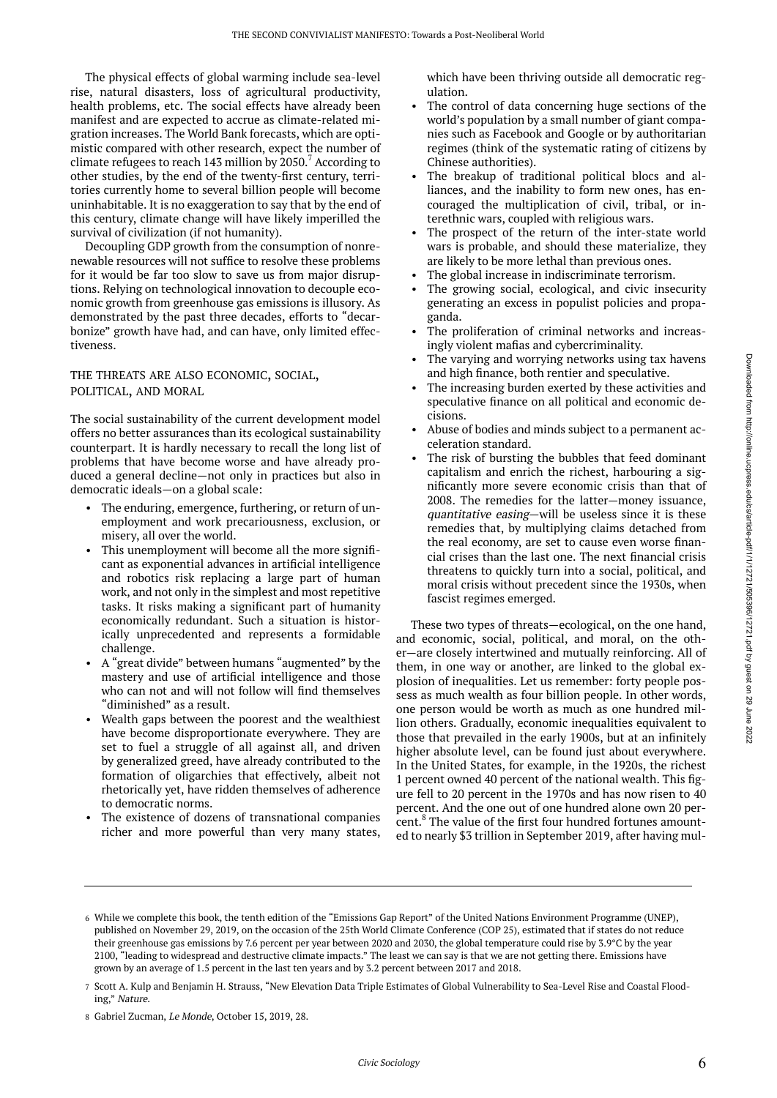The physical effects of global warming include sea-level rise, natural disasters, loss of agricultural productivity, health problems, etc. The social effects have already been manifest and are expected to accrue as climate-related migration increases. The World Bank forecasts, which are optimistic compared with other research, expect the number of climate refugees to reach 143 million by  $2050$ .<sup>7</sup> According to other studies, by the end of the twenty-first century, territories currently home to several billion people will become uninhabitable. It is no exaggeration to say that by the end of this century, climate change will have likely imperilled the survival of civilization (if not humanity).

Decoupling GDP growth from the consumption of nonrenewable resources will not suffice to resolve these problems for it would be far too slow to save us from major disruptions. Relying on technological innovation to decouple economic growth from greenhouse gas emissions is illusory. As demonstrated by the past three decades, efforts to "decarbonize" growth have had, and can have, only limited effectiveness.

### THE THREATS ARE ALSO ECONOMIC, SOCIAL, POLITICAL, AND MORAL

The social sustainability of the current development model offers no better assurances than its ecological sustainability counterpart. It is hardly necessary to recall the long list of problems that have become worse and have already produced a general decline—not only in practices but also in democratic ideals—on a global scale:

- The enduring, emergence, furthering, or return of unemployment and work precariousness, exclusion, or misery, all over the world.
- This unemployment will become all the more significant as exponential advances in artificial intelligence and robotics risk replacing a large part of human work, and not only in the simplest and most repetitive tasks. It risks making a significant part of humanity economically redundant. Such a situation is historically unprecedented and represents a formidable challenge.
- A "great divide" between humans "augmented" by the mastery and use of artificial intelligence and those who can not and will not follow will find themselves "diminished" as a result.
- Wealth gaps between the poorest and the wealthiest have become disproportionate everywhere. They are set to fuel a struggle of all against all, and driven by generalized greed, have already contributed to the formation of oligarchies that effectively, albeit not rhetorically yet, have ridden themselves of adherence to democratic norms.
- The existence of dozens of transnational companies richer and more powerful than very many states,

which have been thriving outside all democratic regulation.

- The control of data concerning huge sections of the world's population by a small number of giant companies such as Facebook and Google or by authoritarian regimes (think of the systematic rating of citizens by Chinese authorities).
- The breakup of traditional political blocs and alliances, and the inability to form new ones, has encouraged the multiplication of civil, tribal, or interethnic wars, coupled with religious wars.
- The prospect of the return of the inter-state world wars is probable, and should these materialize, they are likely to be more lethal than previous ones.
- The global increase in indiscriminate terrorism.
- The growing social, ecological, and civic insecurity generating an excess in populist policies and propaganda.
- The proliferation of criminal networks and increasingly violent mafias and cybercriminality.
- The varying and worrying networks using tax havens and high finance, both rentier and speculative.
- The increasing burden exerted by these activities and speculative finance on all political and economic decisions.
- Abuse of bodies and minds subject to a permanent acceleration standard.
- The risk of bursting the bubbles that feed dominant capitalism and enrich the richest, harbouring a significantly more severe economic crisis than that of 2008. The remedies for the latter—money issuance, quantitative easing—will be useless since it is these remedies that, by multiplying claims detached from the real economy, are set to cause even worse financial crises than the last one. The next financial crisis threatens to quickly turn into a social, political, and moral crisis without precedent since the 1930s, when fascist regimes emerged.

These two types of threats—ecological, on the one hand, and economic, social, political, and moral, on the other—are closely intertwined and mutually reinforcing. All of them, in one way or another, are linked to the global explosion of inequalities. Let us remember: forty people possess as much wealth as four billion people. In other words, one person would be worth as much as one hundred million others. Gradually, economic inequalities equivalent to those that prevailed in the early 1900s, but at an infinitely higher absolute level, can be found just about everywhere. In the United States, for example, in the 1920s, the richest 1 percent owned 40 percent of the national wealth. This figure fell to 20 percent in the 1970s and has now risen to 40 percent. And the one out of one hundred alone own 20 percent.<sup>8</sup> The value of the first four hundred fortunes amounted to nearly \$3 trillion in September 2019, after having mul-

While we complete this book, the tenth edition of the "Emissions Gap Report" of the United Nations Environment Programme (UNEP), 6 published on November 29, 2019, on the occasion of the 25th World Climate Conference (COP 25), estimated that if states do not reduce their greenhouse gas emissions by 7.6 percent per year between 2020 and 2030, the global temperature could rise by 3.9°C by the year 2100, "leading to widespread and destructive climate impacts." The least we can say is that we are not getting there. Emissions have grown by an average of 1.5 percent in the last ten years and by 3.2 percent between 2017 and 2018.

<sup>7</sup> Scott A. Kulp and Benjamin H. Strauss, "New Elevation Data Triple Estimates of Global Vulnerability to Sea-Level Rise and Coastal Flooding," Nature.

<sup>8</sup> Gabriel Zucman, Le Monde, October 15, 2019, 28.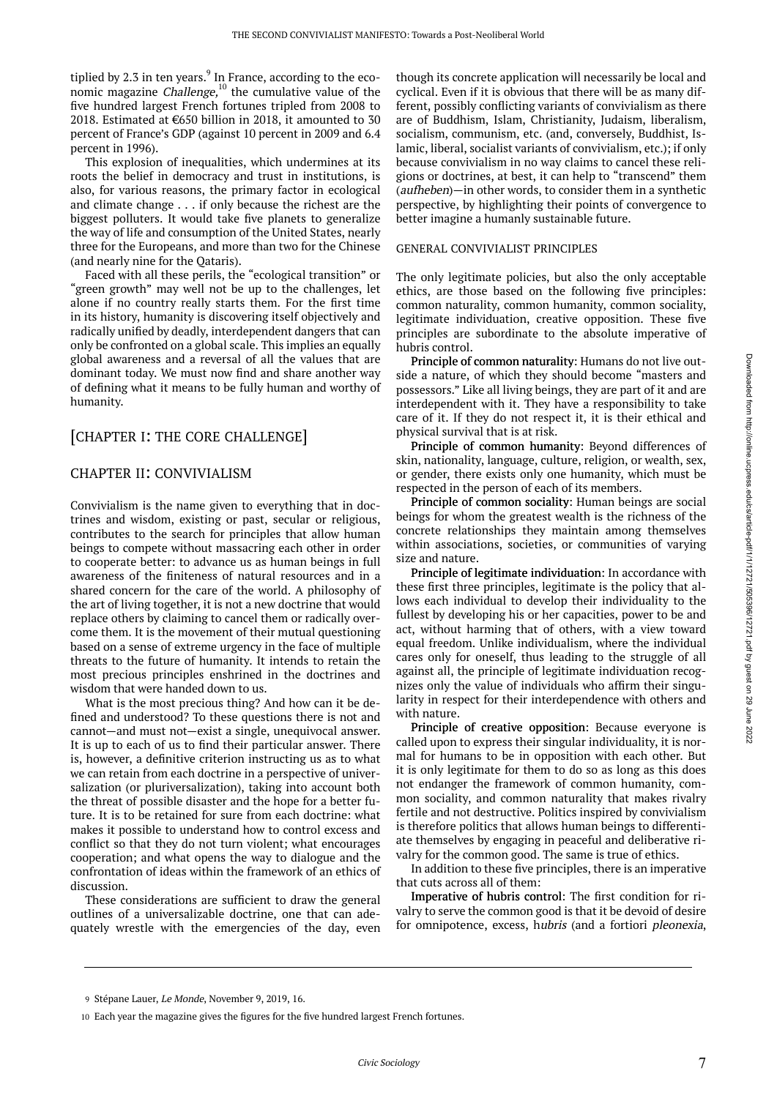tiplied by 2.3 in ten years. $^9$  In France, according to the economic magazine Challenge,<sup>10</sup> the cumulative value of the five hundred largest French fortunes tripled from 2008 to 2018. Estimated at €650 billion in 2018, it amounted to 30 percent of France's GDP (against 10 percent in 2009 and 6.4 percent in 1996).

This explosion of inequalities, which undermines at its roots the belief in democracy and trust in institutions, is also, for various reasons, the primary factor in ecological and climate change . . . if only because the richest are the biggest polluters. It would take five planets to generalize the way of life and consumption of the United States, nearly three for the Europeans, and more than two for the Chinese (and nearly nine for the Qataris).

Faced with all these perils, the "ecological transition" or "green growth" may well not be up to the challenges, let alone if no country really starts them. For the first time in its history, humanity is discovering itself objectively and radically unified by deadly, interdependent dangers that can only be confronted on a global scale. This implies an equally global awareness and a reversal of all the values that are dominant today. We must now find and share another way of defining what it means to be fully human and worthy of humanity.

# [CHAPTER I: THE CORE CHALLENGE]

### CHAPTER II: CONVIVIALISM

Convivialism is the name given to everything that in doctrines and wisdom, existing or past, secular or religious, contributes to the search for principles that allow human beings to compete without massacring each other in order to cooperate better: to advance us as human beings in full awareness of the finiteness of natural resources and in a shared concern for the care of the world. A philosophy of the art of living together, it is not a new doctrine that would replace others by claiming to cancel them or radically overcome them. It is the movement of their mutual questioning based on a sense of extreme urgency in the face of multiple threats to the future of humanity. It intends to retain the most precious principles enshrined in the doctrines and wisdom that were handed down to us.

What is the most precious thing? And how can it be defined and understood? To these questions there is not and cannot—and must not—exist a single, unequivocal answer. It is up to each of us to find their particular answer. There is, however, a definitive criterion instructing us as to what we can retain from each doctrine in a perspective of universalization (or pluriversalization), taking into account both the threat of possible disaster and the hope for a better future. It is to be retained for sure from each doctrine: what makes it possible to understand how to control excess and conflict so that they do not turn violent; what encourages cooperation; and what opens the way to dialogue and the confrontation of ideas within the framework of an ethics of discussion.

These considerations are sufficient to draw the general outlines of a universalizable doctrine, one that can adequately wrestle with the emergencies of the day, even

though its concrete application will necessarily be local and cyclical. Even if it is obvious that there will be as many different, possibly conflicting variants of convivialism as there are of Buddhism, Islam, Christianity, Judaism, liberalism, socialism, communism, etc. (and, conversely, Buddhist, Islamic, liberal, socialist variants of convivialism, etc.); if only because convivialism in no way claims to cancel these religions or doctrines, at best, it can help to "transcend" them (aufheben)—in other words, to consider them in a synthetic perspective, by highlighting their points of convergence to better imagine a humanly sustainable future.

#### GENERAL CONVIVIALIST PRINCIPLES

The only legitimate policies, but also the only acceptable ethics, are those based on the following five principles: common naturality, common humanity, common sociality, legitimate individuation, creative opposition. These five principles are subordinate to the absolute imperative of hubris control.

Principle of common naturality: Humans do not live outside a nature, of which they should become "masters and possessors." Like all living beings, they are part of it and are interdependent with it. They have a responsibility to take care of it. If they do not respect it, it is their ethical and physical survival that is at risk.

Principle of common humanity: Beyond differences of skin, nationality, language, culture, religion, or wealth, sex, or gender, there exists only one humanity, which must be respected in the person of each of its members.

Principle of common sociality: Human beings are social beings for whom the greatest wealth is the richness of the concrete relationships they maintain among themselves within associations, societies, or communities of varying size and nature.

Principle of legitimate individuation: In accordance with these first three principles, legitimate is the policy that allows each individual to develop their individuality to the fullest by developing his or her capacities, power to be and act, without harming that of others, with a view toward equal freedom. Unlike individualism, where the individual cares only for oneself, thus leading to the struggle of all against all, the principle of legitimate individuation recognizes only the value of individuals who affirm their singularity in respect for their interdependence with others and with nature.

Principle of creative opposition: Because everyone is called upon to express their singular individuality, it is normal for humans to be in opposition with each other. But it is only legitimate for them to do so as long as this does not endanger the framework of common humanity, common sociality, and common naturality that makes rivalry fertile and not destructive. Politics inspired by convivialism is therefore politics that allows human beings to differentiate themselves by engaging in peaceful and deliberative rivalry for the common good. The same is true of ethics.

In addition to these five principles, there is an imperative that cuts across all of them:

Imperative of hubris control: The first condition for rivalry to serve the common good is that it be devoid of desire for omnipotence, excess, hubris (and a fortiori pleonexia,

<sup>9</sup> Stépane Lauer, *Le Monde*, November 9, 2019, 16.

<sup>10</sup> Each year the magazine gives the figures for the five hundred largest French fortunes.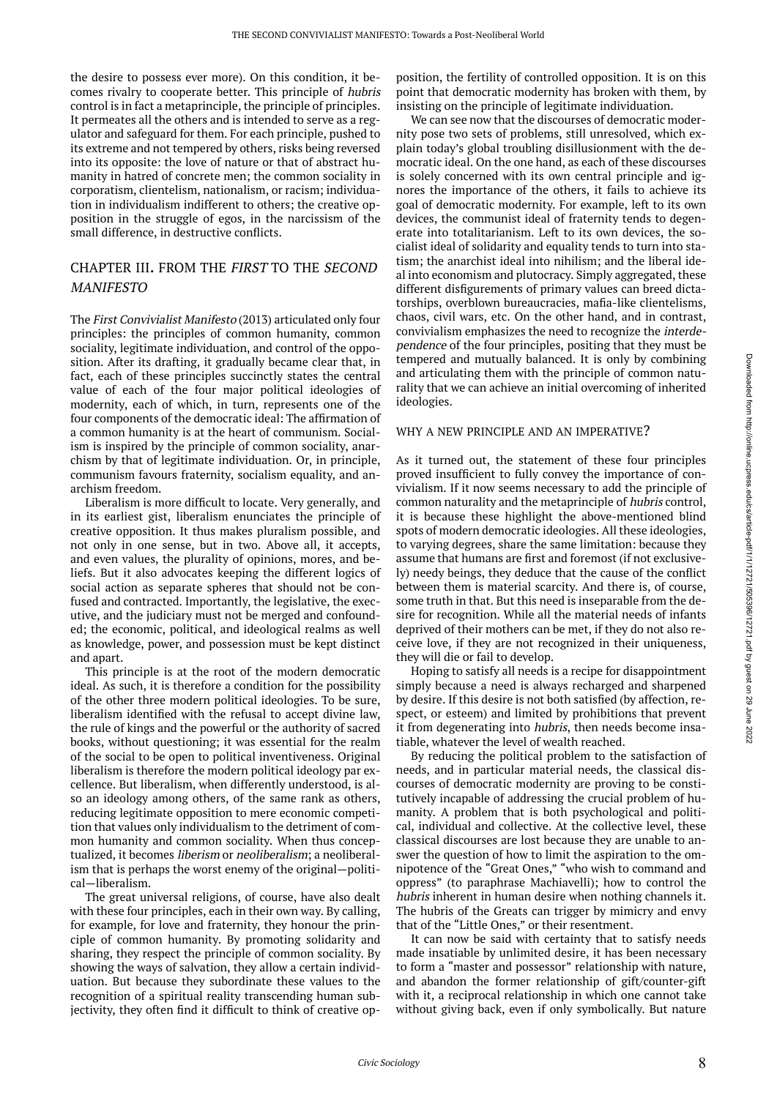the desire to possess ever more). On this condition, it becomes rivalry to cooperate better. This principle of hubris control is in fact a metaprinciple, the principle of principles. It permeates all the others and is intended to serve as a regulator and safeguard for them. For each principle, pushed to its extreme and not tempered by others, risks being reversed into its opposite: the love of nature or that of abstract humanity in hatred of concrete men; the common sociality in corporatism, clientelism, nationalism, or racism; individuation in individualism indifferent to others; the creative opposition in the struggle of egos, in the narcissism of the small difference, in destructive conflicts.

# CHAPTER III. FROM THE FIRST TO THE SECOND MANIFESTO

The First Convivialist Manifesto (2013) articulated only four principles: the principles of common humanity, common sociality, legitimate individuation, and control of the opposition. After its drafting, it gradually became clear that, in fact, each of these principles succinctly states the central value of each of the four major political ideologies of modernity, each of which, in turn, represents one of the four components of the democratic ideal: The affirmation of a common humanity is at the heart of communism. Socialism is inspired by the principle of common sociality, anarchism by that of legitimate individuation. Or, in principle, communism favours fraternity, socialism equality, and anarchism freedom.

Liberalism is more difficult to locate. Very generally, and in its earliest gist, liberalism enunciates the principle of creative opposition. It thus makes pluralism possible, and not only in one sense, but in two. Above all, it accepts, and even values, the plurality of opinions, mores, and beliefs. But it also advocates keeping the different logics of social action as separate spheres that should not be confused and contracted. Importantly, the legislative, the executive, and the judiciary must not be merged and confounded; the economic, political, and ideological realms as well as knowledge, power, and possession must be kept distinct and apart.

This principle is at the root of the modern democratic ideal. As such, it is therefore a condition for the possibility of the other three modern political ideologies. To be sure, liberalism identified with the refusal to accept divine law, the rule of kings and the powerful or the authority of sacred books, without questioning; it was essential for the realm of the social to be open to political inventiveness. Original liberalism is therefore the modern political ideology par excellence. But liberalism, when differently understood, is also an ideology among others, of the same rank as others, reducing legitimate opposition to mere economic competition that values only individualism to the detriment of common humanity and common sociality. When thus conceptualized, it becomes liberism or neoliberalism; a neoliberalism that is perhaps the worst enemy of the original—political—liberalism.

The great universal religions, of course, have also dealt with these four principles, each in their own way. By calling, for example, for love and fraternity, they honour the principle of common humanity. By promoting solidarity and sharing, they respect the principle of common sociality. By showing the ways of salvation, they allow a certain individuation. But because they subordinate these values to the recognition of a spiritual reality transcending human subjectivity, they often find it difficult to think of creative opposition, the fertility of controlled opposition. It is on this point that democratic modernity has broken with them, by insisting on the principle of legitimate individuation.

We can see now that the discourses of democratic modernity pose two sets of problems, still unresolved, which explain today's global troubling disillusionment with the democratic ideal. On the one hand, as each of these discourses is solely concerned with its own central principle and ignores the importance of the others, it fails to achieve its goal of democratic modernity. For example, left to its own devices, the communist ideal of fraternity tends to degenerate into totalitarianism. Left to its own devices, the socialist ideal of solidarity and equality tends to turn into statism; the anarchist ideal into nihilism; and the liberal ideal into economism and plutocracy. Simply aggregated, these different disfigurements of primary values can breed dictatorships, overblown bureaucracies, mafia-like clientelisms, chaos, civil wars, etc. On the other hand, and in contrast, convivialism emphasizes the need to recognize the interdependence of the four principles, positing that they must be tempered and mutually balanced. It is only by combining and articulating them with the principle of common naturality that we can achieve an initial overcoming of inherited ideologies.

#### WHY A NEW PRINCIPLE AND AN IMPERATIVE?

As it turned out, the statement of these four principles proved insufficient to fully convey the importance of convivialism. If it now seems necessary to add the principle of common naturality and the metaprinciple of hubris control, it is because these highlight the above-mentioned blind spots of modern democratic ideologies. All these ideologies, to varying degrees, share the same limitation: because they assume that humans are first and foremost (if not exclusively) needy beings, they deduce that the cause of the conflict between them is material scarcity. And there is, of course, some truth in that. But this need is inseparable from the desire for recognition. While all the material needs of infants deprived of their mothers can be met, if they do not also receive love, if they are not recognized in their uniqueness, they will die or fail to develop.

Hoping to satisfy all needs is a recipe for disappointment simply because a need is always recharged and sharpened by desire. If this desire is not both satisfied (by affection, respect, or esteem) and limited by prohibitions that prevent it from degenerating into hubris, then needs become insatiable, whatever the level of wealth reached.

By reducing the political problem to the satisfaction of needs, and in particular material needs, the classical discourses of democratic modernity are proving to be constitutively incapable of addressing the crucial problem of humanity. A problem that is both psychological and political, individual and collective. At the collective level, these classical discourses are lost because they are unable to answer the question of how to limit the aspiration to the omnipotence of the "Great Ones," "who wish to command and oppress" (to paraphrase Machiavelli); how to control the hubris inherent in human desire when nothing channels it. The hubris of the Greats can trigger by mimicry and envy that of the "Little Ones," or their resentment.

It can now be said with certainty that to satisfy needs made insatiable by unlimited desire, it has been necessary to form a "master and possessor" relationship with nature, and abandon the former relationship of gift/counter-gift with it, a reciprocal relationship in which one cannot take without giving back, even if only symbolically. But nature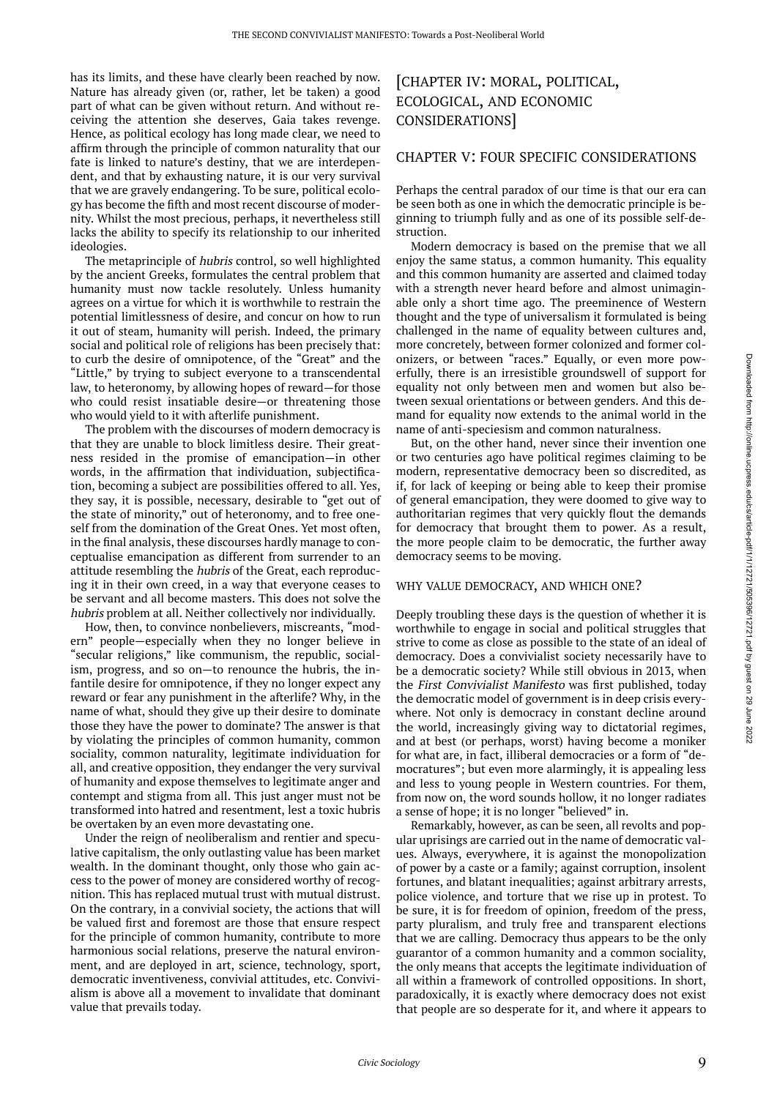has its limits, and these have clearly been reached by now. Nature has already given (or, rather, let be taken) a good part of what can be given without return. And without receiving the attention she deserves, Gaia takes revenge. Hence, as political ecology has long made clear, we need to affirm through the principle of common naturality that our fate is linked to nature's destiny, that we are interdependent, and that by exhausting nature, it is our very survival that we are gravely endangering. To be sure, political ecology has become the fifth and most recent discourse of modernity. Whilst the most precious, perhaps, it nevertheless still lacks the ability to specify its relationship to our inherited ideologies.

The metaprinciple of hubris control, so well highlighted by the ancient Greeks, formulates the central problem that humanity must now tackle resolutely. Unless humanity agrees on a virtue for which it is worthwhile to restrain the potential limitlessness of desire, and concur on how to run it out of steam, humanity will perish. Indeed, the primary social and political role of religions has been precisely that: to curb the desire of omnipotence, of the "Great" and the "Little," by trying to subject everyone to a transcendental law, to heteronomy, by allowing hopes of reward—for those who could resist insatiable desire—or threatening those who would yield to it with afterlife punishment.

The problem with the discourses of modern democracy is that they are unable to block limitless desire. Their greatness resided in the promise of emancipation—in other words, in the affirmation that individuation, subjectification, becoming a subject are possibilities offered to all. Yes, they say, it is possible, necessary, desirable to "get out of the state of minority," out of heteronomy, and to free oneself from the domination of the Great Ones. Yet most often, in the final analysis, these discourses hardly manage to conceptualise emancipation as different from surrender to an attitude resembling the hubris of the Great, each reproducing it in their own creed, in a way that everyone ceases to be servant and all become masters. This does not solve the hubris problem at all. Neither collectively nor individually.

How, then, to convince nonbelievers, miscreants, "modern" people—especially when they no longer believe in "secular religions," like communism, the republic, socialism, progress, and so on—to renounce the hubris, the infantile desire for omnipotence, if they no longer expect any reward or fear any punishment in the afterlife? Why, in the name of what, should they give up their desire to dominate those they have the power to dominate? The answer is that by violating the principles of common humanity, common sociality, common naturality, legitimate individuation for all, and creative opposition, they endanger the very survival of humanity and expose themselves to legitimate anger and contempt and stigma from all. This just anger must not be transformed into hatred and resentment, lest a toxic hubris be overtaken by an even more devastating one.

Under the reign of neoliberalism and rentier and speculative capitalism, the only outlasting value has been market wealth. In the dominant thought, only those who gain access to the power of money are considered worthy of recognition. This has replaced mutual trust with mutual distrust. On the contrary, in a convivial society, the actions that will be valued first and foremost are those that ensure respect for the principle of common humanity, contribute to more harmonious social relations, preserve the natural environment, and are deployed in art, science, technology, sport, democratic inventiveness, convivial attitudes, etc. Convivialism is above all a movement to invalidate that dominant value that prevails today.

# [CHAPTER IV: MORAL, POLITICAL, ECOLOGICAL, AND ECONOMIC CONSIDERATIONS]

# CHAPTER V: FOUR SPECIFIC CONSIDERATIONS

Perhaps the central paradox of our time is that our era can be seen both as one in which the democratic principle is beginning to triumph fully and as one of its possible self-destruction.

Modern democracy is based on the premise that we all enjoy the same status, a common humanity. This equality and this common humanity are asserted and claimed today with a strength never heard before and almost unimaginable only a short time ago. The preeminence of Western thought and the type of universalism it formulated is being challenged in the name of equality between cultures and, more concretely, between former colonized and former colonizers, or between "races." Equally, or even more powerfully, there is an irresistible groundswell of support for equality not only between men and women but also between sexual orientations or between genders. And this demand for equality now extends to the animal world in the name of anti-speciesism and common naturalness.

But, on the other hand, never since their invention one or two centuries ago have political regimes claiming to be modern, representative democracy been so discredited, as if, for lack of keeping or being able to keep their promise of general emancipation, they were doomed to give way to authoritarian regimes that very quickly flout the demands for democracy that brought them to power. As a result, the more people claim to be democratic, the further away democracy seems to be moving.

#### WHY VALUE DEMOCRACY, AND WHICH ONE?

Deeply troubling these days is the question of whether it is worthwhile to engage in social and political struggles that strive to come as close as possible to the state of an ideal of democracy. Does a convivialist society necessarily have to be a democratic society? While still obvious in 2013, when the First Convivialist Manifesto was first published, today the democratic model of government is in deep crisis everywhere. Not only is democracy in constant decline around the world, increasingly giving way to dictatorial regimes, and at best (or perhaps, worst) having become a moniker for what are, in fact, illiberal democracies or a form of "democratures"; but even more alarmingly, it is appealing less and less to young people in Western countries. For them, from now on, the word sounds hollow, it no longer radiates a sense of hope; it is no longer "believed" in.

Remarkably, however, as can be seen, all revolts and popular uprisings are carried out in the name of democratic values. Always, everywhere, it is against the monopolization of power by a caste or a family; against corruption, insolent fortunes, and blatant inequalities; against arbitrary arrests, police violence, and torture that we rise up in protest. To be sure, it is for freedom of opinion, freedom of the press, party pluralism, and truly free and transparent elections that we are calling. Democracy thus appears to be the only guarantor of a common humanity and a common sociality, the only means that accepts the legitimate individuation of all within a framework of controlled oppositions. In short, paradoxically, it is exactly where democracy does not exist that people are so desperate for it, and where it appears to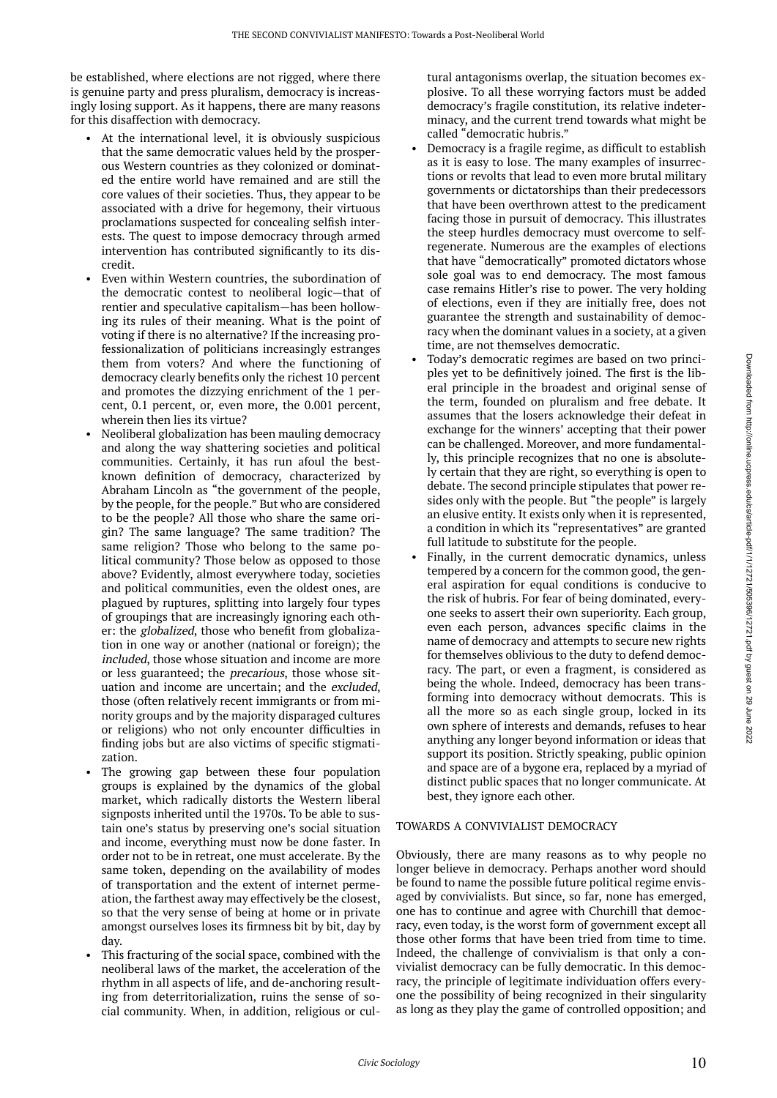be established, where elections are not rigged, where there is genuine party and press pluralism, democracy is increasingly losing support. As it happens, there are many reasons for this disaffection with democracy.

- At the international level, it is obviously suspicious that the same democratic values held by the prosperous Western countries as they colonized or dominated the entire world have remained and are still the core values of their societies. Thus, they appear to be associated with a drive for hegemony, their virtuous proclamations suspected for concealing selfish interests. The quest to impose democracy through armed intervention has contributed significantly to its discredit.
- Even within Western countries, the subordination of the democratic contest to neoliberal logic—that of rentier and speculative capitalism—has been hollowing its rules of their meaning. What is the point of voting if there is no alternative? If the increasing professionalization of politicians increasingly estranges them from voters? And where the functioning of democracy clearly benefits only the richest 10 percent and promotes the dizzying enrichment of the 1 percent, 0.1 percent, or, even more, the 0.001 percent, wherein then lies its virtue?
- Neoliberal globalization has been mauling democracy and along the way shattering societies and political communities. Certainly, it has run afoul the bestknown definition of democracy, characterized by Abraham Lincoln as "the government of the people, by the people, for the people." But who are considered to be the people? All those who share the same origin? The same language? The same tradition? The same religion? Those who belong to the same political community? Those below as opposed to those above? Evidently, almost everywhere today, societies and political communities, even the oldest ones, are plagued by ruptures, splitting into largely four types of groupings that are increasingly ignoring each other: the globalized, those who benefit from globalization in one way or another (national or foreign); the included, those whose situation and income are more or less guaranteed; the precarious, those whose situation and income are uncertain; and the excluded, those (often relatively recent immigrants or from minority groups and by the majority disparaged cultures or religions) who not only encounter difficulties in finding jobs but are also victims of specific stigmatization.
- The growing gap between these four population groups is explained by the dynamics of the global market, which radically distorts the Western liberal signposts inherited until the 1970s. To be able to sustain one's status by preserving one's social situation and income, everything must now be done faster. In order not to be in retreat, one must accelerate. By the same token, depending on the availability of modes of transportation and the extent of internet permeation, the farthest away may effectively be the closest, so that the very sense of being at home or in private amongst ourselves loses its firmness bit by bit, day by day.
- This fracturing of the social space, combined with the neoliberal laws of the market, the acceleration of the rhythm in all aspects of life, and de-anchoring resulting from deterritorialization, ruins the sense of social community. When, in addition, religious or cul-

tural antagonisms overlap, the situation becomes explosive. To all these worrying factors must be added democracy's fragile constitution, its relative indeterminacy, and the current trend towards what might be called "democratic hubris."

- Democracy is a fragile regime, as difficult to establish as it is easy to lose. The many examples of insurrections or revolts that lead to even more brutal military governments or dictatorships than their predecessors that have been overthrown attest to the predicament facing those in pursuit of democracy. This illustrates the steep hurdles democracy must overcome to selfregenerate. Numerous are the examples of elections that have "democratically" promoted dictators whose sole goal was to end democracy. The most famous case remains Hitler's rise to power. The very holding of elections, even if they are initially free, does not guarantee the strength and sustainability of democracy when the dominant values in a society, at a given time, are not themselves democratic.
- Today's democratic regimes are based on two principles yet to be definitively joined. The first is the liberal principle in the broadest and original sense of the term, founded on pluralism and free debate. It assumes that the losers acknowledge their defeat in exchange for the winners' accepting that their power can be challenged. Moreover, and more fundamentally, this principle recognizes that no one is absolutely certain that they are right, so everything is open to debate. The second principle stipulates that power resides only with the people. But "the people" is largely an elusive entity. It exists only when it is represented, a condition in which its "representatives" are granted full latitude to substitute for the people.
- Finally, in the current democratic dynamics, unless tempered by a concern for the common good, the general aspiration for equal conditions is conducive to the risk of hubris. For fear of being dominated, everyone seeks to assert their own superiority. Each group, even each person, advances specific claims in the name of democracy and attempts to secure new rights for themselves oblivious to the duty to defend democracy. The part, or even a fragment, is considered as being the whole. Indeed, democracy has been transforming into democracy without democrats. This is all the more so as each single group, locked in its own sphere of interests and demands, refuses to hear anything any longer beyond information or ideas that support its position. Strictly speaking, public opinion and space are of a bygone era, replaced by a myriad of distinct public spaces that no longer communicate. At best, they ignore each other.

### TOWARDS A CONVIVIALIST DEMOCRACY

Obviously, there are many reasons as to why people no longer believe in democracy. Perhaps another word should be found to name the possible future political regime envisaged by convivialists. But since, so far, none has emerged, one has to continue and agree with Churchill that democracy, even today, is the worst form of government except all those other forms that have been tried from time to time. Indeed, the challenge of convivialism is that only a convivialist democracy can be fully democratic. In this democracy, the principle of legitimate individuation offers everyone the possibility of being recognized in their singularity as long as they play the game of controlled opposition; and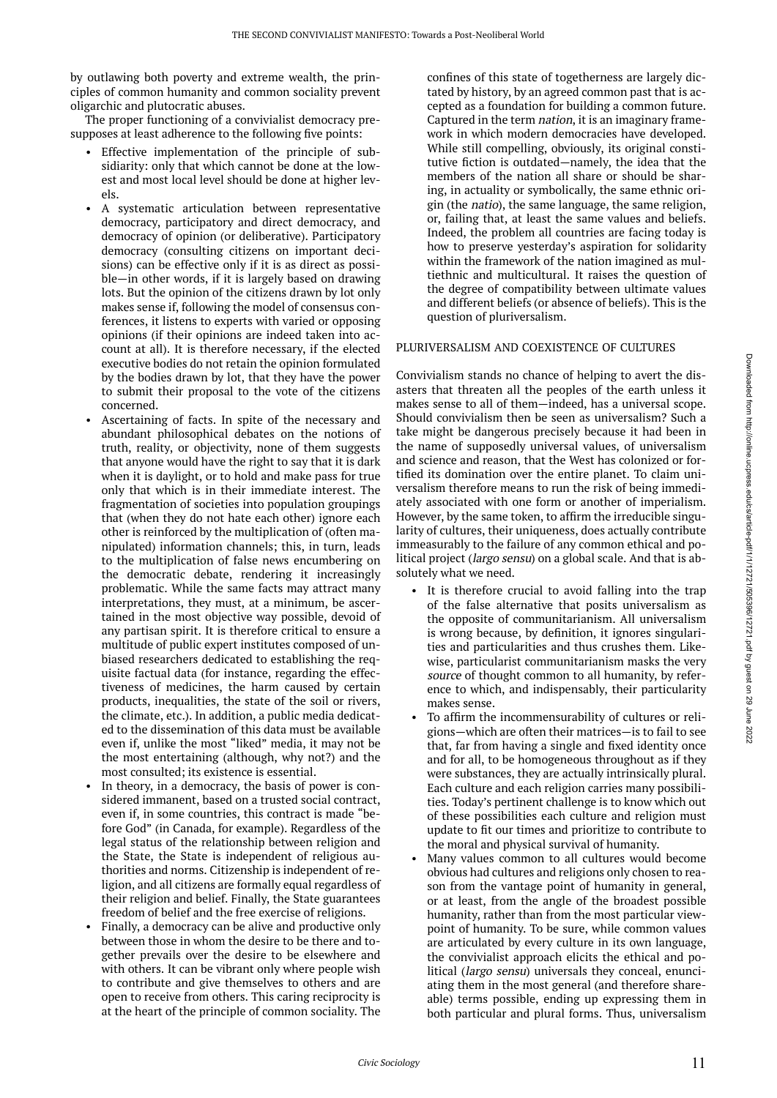by outlawing both poverty and extreme wealth, the principles of common humanity and common sociality prevent oligarchic and plutocratic abuses.

The proper functioning of a convivialist democracy presupposes at least adherence to the following five points:

- Effective implementation of the principle of subsidiarity: only that which cannot be done at the lowest and most local level should be done at higher levels.
- A systematic articulation between representative democracy, participatory and direct democracy, and democracy of opinion (or deliberative). Participatory democracy (consulting citizens on important decisions) can be effective only if it is as direct as possible—in other words, if it is largely based on drawing lots. But the opinion of the citizens drawn by lot only makes sense if, following the model of consensus conferences, it listens to experts with varied or opposing opinions (if their opinions are indeed taken into account at all). It is therefore necessary, if the elected executive bodies do not retain the opinion formulated by the bodies drawn by lot, that they have the power to submit their proposal to the vote of the citizens concerned.
- Ascertaining of facts. In spite of the necessary and abundant philosophical debates on the notions of truth, reality, or objectivity, none of them suggests that anyone would have the right to say that it is dark when it is daylight, or to hold and make pass for true only that which is in their immediate interest. The fragmentation of societies into population groupings that (when they do not hate each other) ignore each other is reinforced by the multiplication of (often manipulated) information channels; this, in turn, leads to the multiplication of false news encumbering on the democratic debate, rendering it increasingly problematic. While the same facts may attract many interpretations, they must, at a minimum, be ascertained in the most objective way possible, devoid of any partisan spirit. It is therefore critical to ensure a multitude of public expert institutes composed of unbiased researchers dedicated to establishing the requisite factual data (for instance, regarding the effectiveness of medicines, the harm caused by certain products, inequalities, the state of the soil or rivers, the climate, etc.). In addition, a public media dedicated to the dissemination of this data must be available even if, unlike the most "liked" media, it may not be the most entertaining (although, why not?) and the most consulted; its existence is essential.
- In theory, in a democracy, the basis of power is considered immanent, based on a trusted social contract, even if, in some countries, this contract is made "before God" (in Canada, for example). Regardless of the legal status of the relationship between religion and the State, the State is independent of religious authorities and norms. Citizenship is independent of religion, and all citizens are formally equal regardless of their religion and belief. Finally, the State guarantees freedom of belief and the free exercise of religions.
- Finally, a democracy can be alive and productive only between those in whom the desire to be there and together prevails over the desire to be elsewhere and with others. It can be vibrant only where people wish to contribute and give themselves to others and are open to receive from others. This caring reciprocity is at the heart of the principle of common sociality. The

confines of this state of togetherness are largely dictated by history, by an agreed common past that is accepted as a foundation for building a common future. Captured in the term nation, it is an imaginary framework in which modern democracies have developed. While still compelling, obviously, its original constitutive fiction is outdated—namely, the idea that the members of the nation all share or should be sharing, in actuality or symbolically, the same ethnic origin (the natio), the same language, the same religion, or, failing that, at least the same values and beliefs. Indeed, the problem all countries are facing today is how to preserve yesterday's aspiration for solidarity within the framework of the nation imagined as multiethnic and multicultural. It raises the question of the degree of compatibility between ultimate values and different beliefs (or absence of beliefs). This is the question of pluriversalism.

#### PLURIVERSALISM AND COEXISTENCE OF CULTURES

Convivialism stands no chance of helping to avert the disasters that threaten all the peoples of the earth unless it makes sense to all of them—indeed, has a universal scope. Should convivialism then be seen as universalism? Such a take might be dangerous precisely because it had been in the name of supposedly universal values, of universalism and science and reason, that the West has colonized or fortified its domination over the entire planet. To claim universalism therefore means to run the risk of being immediately associated with one form or another of imperialism. However, by the same token, to affirm the irreducible singularity of cultures, their uniqueness, does actually contribute immeasurably to the failure of any common ethical and political project (largo sensu) on a global scale. And that is absolutely what we need.

- It is therefore crucial to avoid falling into the trap of the false alternative that posits universalism as the opposite of communitarianism. All universalism is wrong because, by definition, it ignores singularities and particularities and thus crushes them. Likewise, particularist communitarianism masks the very source of thought common to all humanity, by reference to which, and indispensably, their particularity makes sense.
- To affirm the incommensurability of cultures or religions—which are often their matrices—is to fail to see that, far from having a single and fixed identity once and for all, to be homogeneous throughout as if they were substances, they are actually intrinsically plural. Each culture and each religion carries many possibilities. Today's pertinent challenge is to know which out of these possibilities each culture and religion must update to fit our times and prioritize to contribute to the moral and physical survival of humanity.
- Many values common to all cultures would become obvious had cultures and religions only chosen to reason from the vantage point of humanity in general, or at least, from the angle of the broadest possible humanity, rather than from the most particular viewpoint of humanity. To be sure, while common values are articulated by every culture in its own language, the convivialist approach elicits the ethical and political (largo sensu) universals they conceal, enunciating them in the most general (and therefore shareable) terms possible, ending up expressing them in both particular and plural forms. Thus, universalism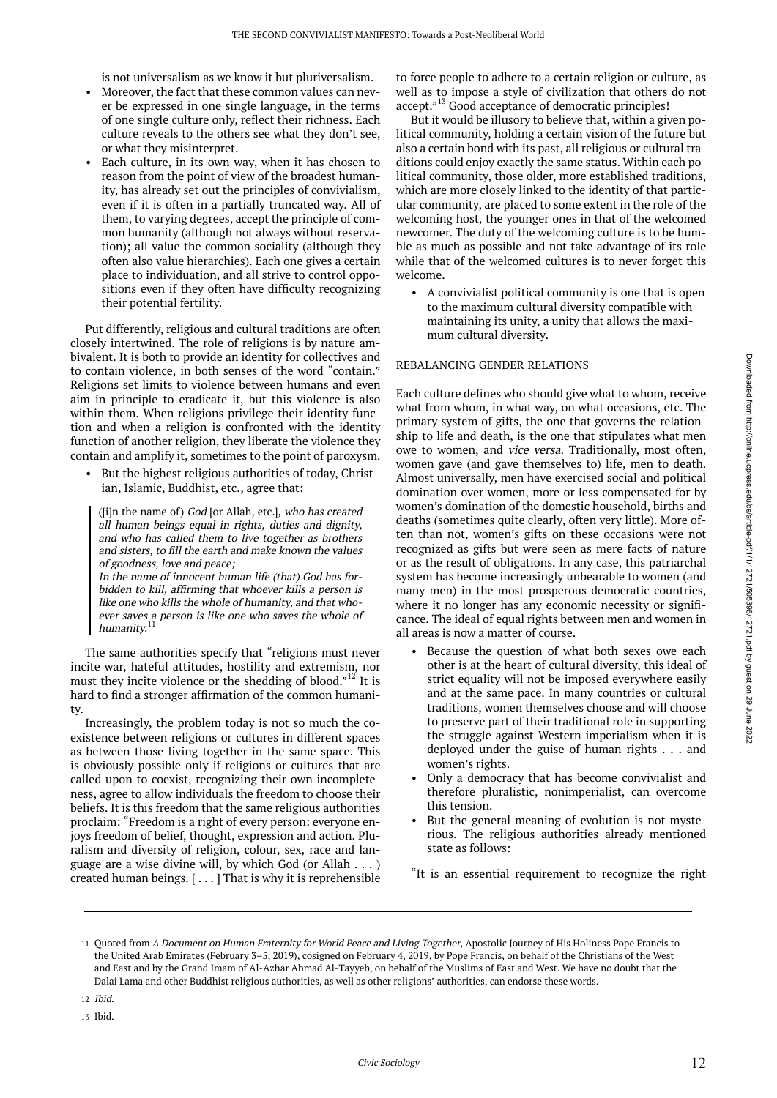is not universalism as we know it but pluriversalism.

- Moreover, the fact that these common values can never be expressed in one single language, in the terms of one single culture only, reflect their richness. Each culture reveals to the others see what they don't see, or what they misinterpret.
- Each culture, in its own way, when it has chosen to reason from the point of view of the broadest humanity, has already set out the principles of convivialism, even if it is often in a partially truncated way. All of them, to varying degrees, accept the principle of common humanity (although not always without reservation); all value the common sociality (although they often also value hierarchies). Each one gives a certain place to individuation, and all strive to control oppositions even if they often have difficulty recognizing their potential fertility.

Put differently, religious and cultural traditions are often closely intertwined. The role of religions is by nature ambivalent. It is both to provide an identity for collectives and to contain violence, in both senses of the word "contain." Religions set limits to violence between humans and even aim in principle to eradicate it, but this violence is also within them. When religions privilege their identity function and when a religion is confronted with the identity function of another religion, they liberate the violence they contain and amplify it, sometimes to the point of paroxysm.

But the highest religious authorities of today, Christian, Islamic, Buddhist, etc., agree that:

([i]n the name of) God [or Allah, etc.], who has created all human beings equal in rights, duties and dignity, and who has called them to live together as brothers and sisters, to fill the earth and make known the values of goodness, love and peace;

In the name of innocent human life (that) God has forbidden to kill, affirming that whoever kills a person is like one who kills the whole of humanity, and that whoever saves a person is like one who saves the whole of humanity.<sup>11</sup>

The same authorities specify that "religions must never incite war, hateful attitudes, hostility and extremism, nor must they incite violence or the shedding of blood."<sup>12</sup> It is hard to find a stronger affirmation of the common humanity.

Increasingly, the problem today is not so much the coexistence between religions or cultures in different spaces as between those living together in the same space. This is obviously possible only if religions or cultures that are called upon to coexist, recognizing their own incompleteness, agree to allow individuals the freedom to choose their beliefs. It is this freedom that the same religious authorities proclaim: "Freedom is a right of every person: everyone enjoys freedom of belief, thought, expression and action. Pluralism and diversity of religion, colour, sex, race and language are a wise divine will, by which God (or Allah . . . ) created human beings. [ . . . ] That is why it is reprehensible

to force people to adhere to a certain religion or culture, as well as to impose a style of civilization that others do not accept."<sup>13</sup> Good acceptance of democratic principles!

But it would be illusory to believe that, within a given political community, holding a certain vision of the future but also a certain bond with its past, all religious or cultural traditions could enjoy exactly the same status. Within each political community, those older, more established traditions, which are more closely linked to the identity of that particular community, are placed to some extent in the role of the welcoming host, the younger ones in that of the welcomed newcomer. The duty of the welcoming culture is to be humble as much as possible and not take advantage of its role while that of the welcomed cultures is to never forget this welcome.

• A convivialist political community is one that is open to the maximum cultural diversity compatible with maintaining its unity, a unity that allows the maximum cultural diversity.

#### REBALANCING GENDER RELATIONS

Each culture defines who should give what to whom, receive what from whom, in what way, on what occasions, etc. The primary system of gifts, the one that governs the relationship to life and death, is the one that stipulates what men owe to women, and vice versa. Traditionally, most often, women gave (and gave themselves to) life, men to death. Almost universally, men have exercised social and political domination over women, more or less compensated for by women's domination of the domestic household, births and deaths (sometimes quite clearly, often very little). More often than not, women's gifts on these occasions were not recognized as gifts but were seen as mere facts of nature or as the result of obligations. In any case, this patriarchal system has become increasingly unbearable to women (and many men) in the most prosperous democratic countries, where it no longer has any economic necessity or significance. The ideal of equal rights between men and women in all areas is now a matter of course.

- Because the question of what both sexes owe each other is at the heart of cultural diversity, this ideal of strict equality will not be imposed everywhere easily and at the same pace. In many countries or cultural traditions, women themselves choose and will choose to preserve part of their traditional role in supporting the struggle against Western imperialism when it is deployed under the guise of human rights . . . and women's rights.
- Only a democracy that has become convivialist and therefore pluralistic, nonimperialist, can overcome this tension.
- But the general meaning of evolution is not mysterious. The religious authorities already mentioned state as follows:

"It is an essential requirement to recognize the right

13 Ibid.

<sup>11</sup> Quoted from A Document on Human Fraternity for World Peace and Living Together, Apostolic Journey of His Holiness Pope Francis to the United Arab Emirates (February 3–5, 2019), cosigned on February 4, 2019, by Pope Francis, on behalf of the Christians of the West and East and by the Grand Imam of Al-Azhar Ahmad Al-Tayyeb, on behalf of the Muslims of East and West. We have no doubt that the Dalai Lama and other Buddhist religious authorities, as well as other religions' authorities, can endorse these words.

<sup>12</sup> *Ibid*.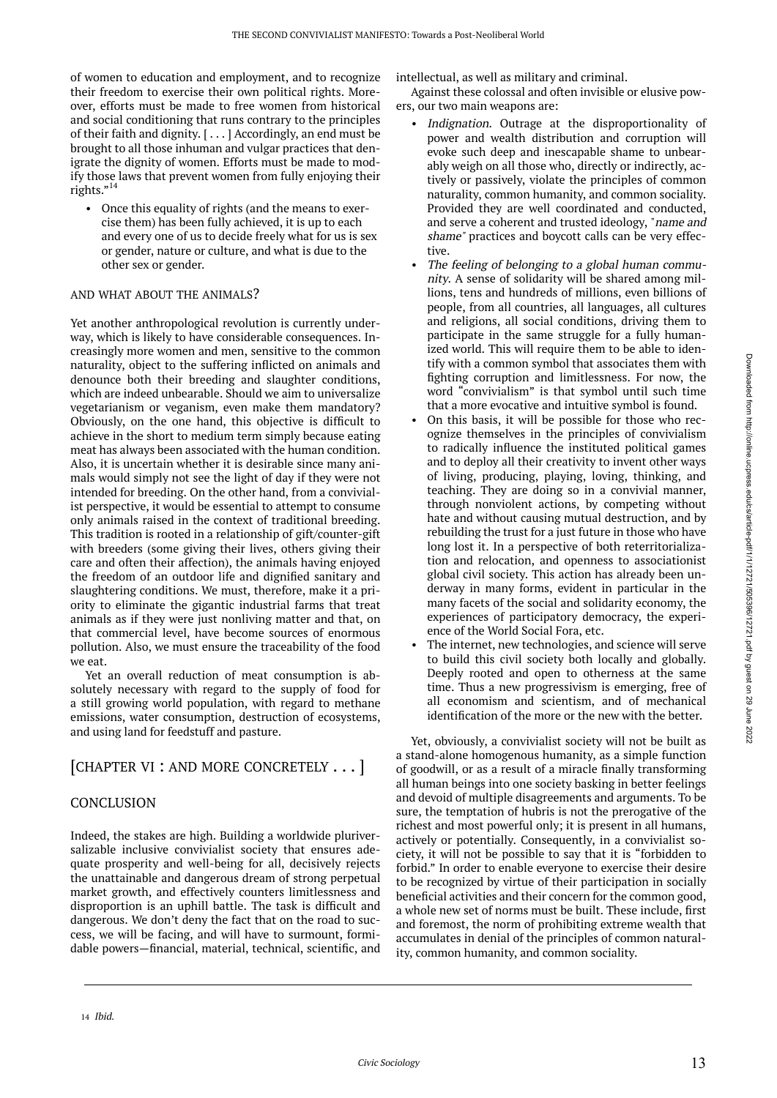of women to education and employment, and to recognize their freedom to exercise their own political rights. Moreover, efforts must be made to free women from historical and social conditioning that runs contrary to the principles of their faith and dignity. [ . . . ] Accordingly, an end must be brought to all those inhuman and vulgar practices that denigrate the dignity of women. Efforts must be made to modify those laws that prevent women from fully enjoying their rights."<sup>14</sup>

• Once this equality of rights (and the means to exercise them) has been fully achieved, it is up to each and every one of us to decide freely what for us is sex or gender, nature or culture, and what is due to the other sex or gender.

#### AND WHAT ABOUT THE ANIMALS?

Yet another anthropological revolution is currently underway, which is likely to have considerable consequences. Increasingly more women and men, sensitive to the common naturality, object to the suffering inflicted on animals and denounce both their breeding and slaughter conditions, which are indeed unbearable. Should we aim to universalize vegetarianism or veganism, even make them mandatory? Obviously, on the one hand, this objective is difficult to achieve in the short to medium term simply because eating meat has always been associated with the human condition. Also, it is uncertain whether it is desirable since many animals would simply not see the light of day if they were not intended for breeding. On the other hand, from a convivialist perspective, it would be essential to attempt to consume only animals raised in the context of traditional breeding. This tradition is rooted in a relationship of gift/counter-gift with breeders (some giving their lives, others giving their care and often their affection), the animals having enjoyed the freedom of an outdoor life and dignified sanitary and slaughtering conditions. We must, therefore, make it a priority to eliminate the gigantic industrial farms that treat animals as if they were just nonliving matter and that, on that commercial level, have become sources of enormous pollution. Also, we must ensure the traceability of the food we eat.

Yet an overall reduction of meat consumption is absolutely necessary with regard to the supply of food for a still growing world population, with regard to methane emissions, water consumption, destruction of ecosystems, and using land for feedstuff and pasture.

# [CHAPTER VI : AND MORE CONCRETELY . . . ]

# **CONCLUSION**

Indeed, the stakes are high. Building a worldwide pluriversalizable inclusive convivialist society that ensures adequate prosperity and well-being for all, decisively rejects the unattainable and dangerous dream of strong perpetual market growth, and effectively counters limitlessness and disproportion is an uphill battle. The task is difficult and dangerous. We don't deny the fact that on the road to success, we will be facing, and will have to surmount, formidable powers—financial, material, technical, scientific, and intellectual, as well as military and criminal.

Against these colossal and often invisible or elusive powers, our two main weapons are:

- Indignation. Outrage at the disproportionality of power and wealth distribution and corruption will evoke such deep and inescapable shame to unbearably weigh on all those who, directly or indirectly, actively or passively, violate the principles of common naturality, common humanity, and common sociality. Provided they are well coordinated and conducted, and serve a coherent and trusted ideology, "name and shame" practices and boycott calls can be very effective.
- The feeling of belonging to a global human community. A sense of solidarity will be shared among millions, tens and hundreds of millions, even billions of people, from all countries, all languages, all cultures and religions, all social conditions, driving them to participate in the same struggle for a fully humanized world. This will require them to be able to identify with a common symbol that associates them with fighting corruption and limitlessness. For now, the word "convivialism" is that symbol until such time that a more evocative and intuitive symbol is found.
- On this basis, it will be possible for those who recognize themselves in the principles of convivialism to radically influence the instituted political games and to deploy all their creativity to invent other ways of living, producing, playing, loving, thinking, and teaching. They are doing so in a convivial manner, through nonviolent actions, by competing without hate and without causing mutual destruction, and by rebuilding the trust for a just future in those who have long lost it. In a perspective of both reterritorialization and relocation, and openness to associationist global civil society. This action has already been underway in many forms, evident in particular in the many facets of the social and solidarity economy, the experiences of participatory democracy, the experience of the World Social Fora, etc.
- The internet, new technologies, and science will serve to build this civil society both locally and globally. Deeply rooted and open to otherness at the same time. Thus a new progressivism is emerging, free of all economism and scientism, and of mechanical identification of the more or the new with the better.

Yet, obviously, a convivialist society will not be built as a stand-alone homogenous humanity, as a simple function of goodwill, or as a result of a miracle finally transforming all human beings into one society basking in better feelings and devoid of multiple disagreements and arguments. To be sure, the temptation of hubris is not the prerogative of the richest and most powerful only; it is present in all humans, actively or potentially. Consequently, in a convivialist society, it will not be possible to say that it is "forbidden to forbid." In order to enable everyone to exercise their desire to be recognized by virtue of their participation in socially beneficial activities and their concern for the common good, a whole new set of norms must be built. These include, first and foremost, the norm of prohibiting extreme wealth that accumulates in denial of the principles of common naturality, common humanity, and common sociality.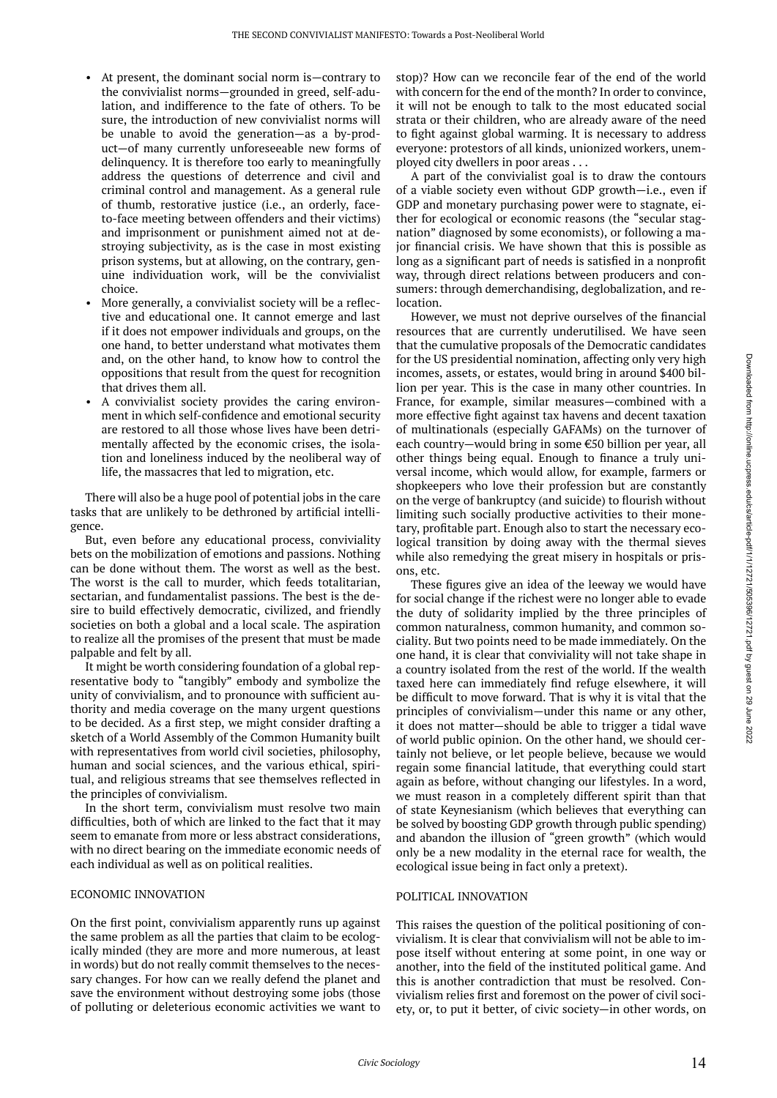- At present, the dominant social norm is—contrary to the convivialist norms—grounded in greed, self-adulation, and indifference to the fate of others. To be sure, the introduction of new convivialist norms will be unable to avoid the generation—as a by-product—of many currently unforeseeable new forms of delinquency. It is therefore too early to meaningfully address the questions of deterrence and civil and criminal control and management. As a general rule of thumb, restorative justice (i.e., an orderly, faceto-face meeting between offenders and their victims) and imprisonment or punishment aimed not at destroying subjectivity, as is the case in most existing prison systems, but at allowing, on the contrary, genuine individuation work, will be the convivialist choice.
- More generally, a convivialist society will be a reflective and educational one. It cannot emerge and last if it does not empower individuals and groups, on the one hand, to better understand what motivates them and, on the other hand, to know how to control the oppositions that result from the quest for recognition that drives them all.
- A convivialist society provides the caring environment in which self-confidence and emotional security are restored to all those whose lives have been detrimentally affected by the economic crises, the isolation and loneliness induced by the neoliberal way of life, the massacres that led to migration, etc.

There will also be a huge pool of potential jobs in the care tasks that are unlikely to be dethroned by artificial intelligence.

But, even before any educational process, conviviality bets on the mobilization of emotions and passions. Nothing can be done without them. The worst as well as the best. The worst is the call to murder, which feeds totalitarian, sectarian, and fundamentalist passions. The best is the desire to build effectively democratic, civilized, and friendly societies on both a global and a local scale. The aspiration to realize all the promises of the present that must be made palpable and felt by all.

It might be worth considering foundation of a global representative body to "tangibly" embody and symbolize the unity of convivialism, and to pronounce with sufficient authority and media coverage on the many urgent questions to be decided. As a first step, we might consider drafting a sketch of a World Assembly of the Common Humanity built with representatives from world civil societies, philosophy, human and social sciences, and the various ethical, spiritual, and religious streams that see themselves reflected in the principles of convivialism.

In the short term, convivialism must resolve two main difficulties, both of which are linked to the fact that it may seem to emanate from more or less abstract considerations, with no direct bearing on the immediate economic needs of each individual as well as on political realities.

#### ECONOMIC INNOVATION

On the first point, convivialism apparently runs up against the same problem as all the parties that claim to be ecologically minded (they are more and more numerous, at least in words) but do not really commit themselves to the necessary changes. For how can we really defend the planet and save the environment without destroying some jobs (those of polluting or deleterious economic activities we want to stop)? How can we reconcile fear of the end of the world with concern for the end of the month? In order to convince, it will not be enough to talk to the most educated social strata or their children, who are already aware of the need to fight against global warming. It is necessary to address everyone: protestors of all kinds, unionized workers, unemployed city dwellers in poor areas . . .

A part of the convivialist goal is to draw the contours of a viable society even without GDP growth—i.e., even if GDP and monetary purchasing power were to stagnate, either for ecological or economic reasons (the "secular stagnation" diagnosed by some economists), or following a major financial crisis. We have shown that this is possible as long as a significant part of needs is satisfied in a nonprofit way, through direct relations between producers and consumers: through demerchandising, deglobalization, and relocation.

However, we must not deprive ourselves of the financial resources that are currently underutilised. We have seen that the cumulative proposals of the Democratic candidates for the US presidential nomination, affecting only very high incomes, assets, or estates, would bring in around \$400 billion per year. This is the case in many other countries. In France, for example, similar measures—combined with a more effective fight against tax havens and decent taxation of multinationals (especially GAFAMs) on the turnover of each country—would bring in some €50 billion per year, all other things being equal. Enough to finance a truly universal income, which would allow, for example, farmers or shopkeepers who love their profession but are constantly on the verge of bankruptcy (and suicide) to flourish without limiting such socially productive activities to their monetary, profitable part. Enough also to start the necessary ecological transition by doing away with the thermal sieves while also remedying the great misery in hospitals or prisons, etc.

These figures give an idea of the leeway we would have for social change if the richest were no longer able to evade the duty of solidarity implied by the three principles of common naturalness, common humanity, and common sociality. But two points need to be made immediately. On the one hand, it is clear that conviviality will not take shape in a country isolated from the rest of the world. If the wealth taxed here can immediately find refuge elsewhere, it will be difficult to move forward. That is why it is vital that the principles of convivialism—under this name or any other, it does not matter—should be able to trigger a tidal wave of world public opinion. On the other hand, we should certainly not believe, or let people believe, because we would regain some financial latitude, that everything could start again as before, without changing our lifestyles. In a word, we must reason in a completely different spirit than that of state Keynesianism (which believes that everything can be solved by boosting GDP growth through public spending) and abandon the illusion of "green growth" (which would only be a new modality in the eternal race for wealth, the ecological issue being in fact only a pretext).

#### POLITICAL INNOVATION

This raises the question of the political positioning of convivialism. It is clear that convivialism will not be able to impose itself without entering at some point, in one way or another, into the field of the instituted political game. And this is another contradiction that must be resolved. Convivialism relies first and foremost on the power of civil society, or, to put it better, of civic society—in other words, on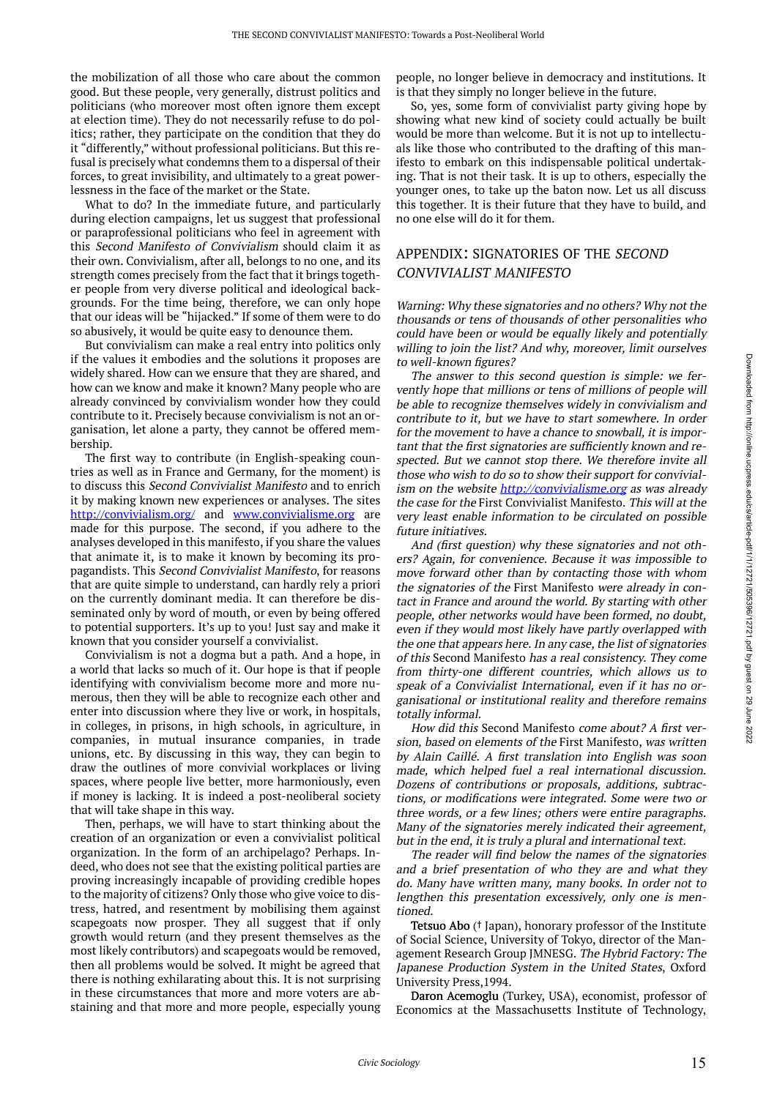the mobilization of all those who care about the common good. But these people, very generally, distrust politics and politicians (who moreover most often ignore them except at election time). They do not necessarily refuse to do politics; rather, they participate on the condition that they do it "differently," without professional politicians. But this refusal is precisely what condemns them to a dispersal of their forces, to great invisibility, and ultimately to a great powerlessness in the face of the market or the State.

What to do? In the immediate future, and particularly during election campaigns, let us suggest that professional or paraprofessional politicians who feel in agreement with this Second Manifesto of Convivialism should claim it as their own. Convivialism, after all, belongs to no one, and its strength comes precisely from the fact that it brings together people from very diverse political and ideological backgrounds. For the time being, therefore, we can only hope that our ideas will be "hijacked." If some of them were to do so abusively, it would be quite easy to denounce them.

But convivialism can make a real entry into politics only if the values it embodies and the solutions it proposes are widely shared. How can we ensure that they are shared, and how can we know and make it known? Many people who are already convinced by convivialism wonder how they could contribute to it. Precisely because convivialism is not an organisation, let alone a party, they cannot be offered membership.

The first way to contribute (in English-speaking countries as well as in France and Germany, for the moment) is to discuss this Second Convivialist Manifesto and to enrich it by making known new experiences or analyses. The sites <http://convivialism.org/> and [www.convivialisme.org](http://www.convivialisme.org/) are made for this purpose. The second, if you adhere to the analyses developed in this manifesto, if you share the values that animate it, is to make it known by becoming its propagandists. This Second Convivialist Manifesto, for reasons that are quite simple to understand, can hardly rely a priori on the currently dominant media. It can therefore be disseminated only by word of mouth, or even by being offered to potential supporters. It's up to you! Just say and make it known that you consider yourself a convivialist.

Convivialism is not a dogma but a path. And a hope, in a world that lacks so much of it. Our hope is that if people identifying with convivialism become more and more numerous, then they will be able to recognize each other and enter into discussion where they live or work, in hospitals, in colleges, in prisons, in high schools, in agriculture, in companies, in mutual insurance companies, in trade unions, etc. By discussing in this way, they can begin to draw the outlines of more convivial workplaces or living spaces, where people live better, more harmoniously, even if money is lacking. It is indeed a post-neoliberal society that will take shape in this way.

Then, perhaps, we will have to start thinking about the creation of an organization or even a convivialist political organization. In the form of an archipelago? Perhaps. Indeed, who does not see that the existing political parties are proving increasingly incapable of providing credible hopes to the majority of citizens? Only those who give voice to distress, hatred, and resentment by mobilising them against scapegoats now prosper. They all suggest that if only growth would return (and they present themselves as the most likely contributors) and scapegoats would be removed, then all problems would be solved. It might be agreed that there is nothing exhilarating about this. It is not surprising in these circumstances that more and more voters are abstaining and that more and more people, especially young people, no longer believe in democracy and institutions. It is that they simply no longer believe in the future.

So, yes, some form of convivialist party giving hope by showing what new kind of society could actually be built would be more than welcome. But it is not up to intellectuals like those who contributed to the drafting of this manifesto to embark on this indispensable political undertaking. That is not their task. It is up to others, especially the younger ones, to take up the baton now. Let us all discuss this together. It is their future that they have to build, and no one else will do it for them.

# APPENDIX: SIGNATORIES OF THE SECOND CONVIVIALIST MANIFESTO

Warning: Why these signatories and no others? Why not the thousands or tens of thousands of other personalities who could have been or would be equally likely and potentially willing to join the list? And why, moreover, limit ourselves to well-known figures?

The answer to this second question is simple: we fervently hope that millions or tens of millions of people will be able to recognize themselves widely in convivialism and contribute to it, but we have to start somewhere. In order for the movement to have a chance to snowball, it is important that the first signatories are sufficiently known and respected. But we cannot stop there. We therefore invite all those who wish to do so to show their support for convivialism on the website [http://convivialisme.org](http://convivialisme.org/) as was already the case for the First Convivialist Manifesto. This will at the very least enable information to be circulated on possible future initiatives.

And (first question) why these signatories and not others? Again, for convenience. Because it was impossible to move forward other than by contacting those with whom the signatories of the First Manifesto were already in contact in France and around the world. By starting with other people, other networks would have been formed, no doubt, even if they would most likely have partly overlapped with the one that appears here. In any case, the list of signatories of this Second Manifesto has a real consistency. They come from thirty-one different countries, which allows us to speak of a Convivialist International, even if it has no organisational or institutional reality and therefore remains totally informal.

How did this Second Manifesto come about? A first version, based on elements of the First Manifesto, was written by Alain Caillé. A first translation into English was soon made, which helped fuel a real international discussion. Dozens of contributions or proposals, additions, subtractions, or modifications were integrated. Some were two or three words, or a few lines; others were entire paragraphs. Many of the signatories merely indicated their agreement, but in the end, it is truly a plural and international text.

The reader will find below the names of the signatories and a brief presentation of who they are and what they do. Many have written many, many books. In order not to lengthen this presentation excessively, only one is mentioned.

Tetsuo Abo († Japan), honorary professor of the Institute of Social Science, University of Tokyo, director of the Management Research Group JMNESG. The Hybrid Factory: The Japanese Production System in the United States, Oxford University Press,1994.

Daron Acemoglu (Turkey, USA), economist, professor of Economics at the Massachusetts Institute of Technology,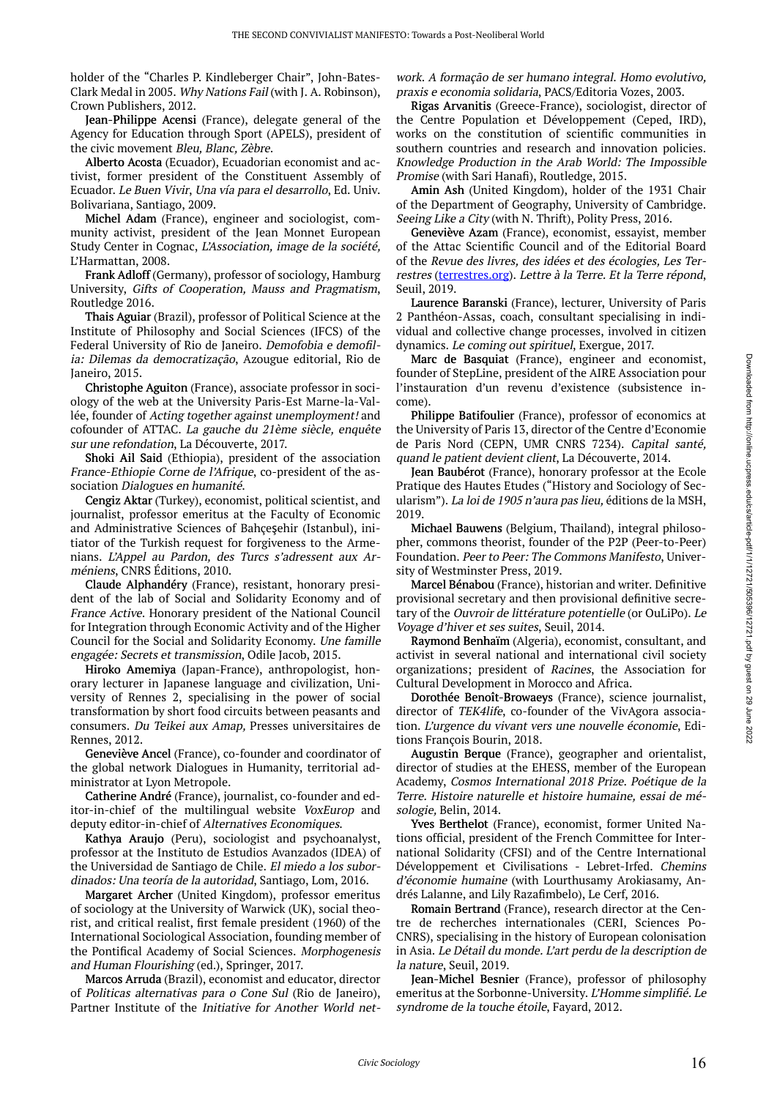holder of the "Charles P. Kindleberger Chair", John-Bates-Clark Medal in 2005. Why Nations Fail (with J. A. Robinson), Crown Publishers, 2012.

Jean-Philippe Acensi (France), delegate general of the Agency for Education through Sport (APELS), president of the civic movement Bleu, Blanc, Zèbre.

Alberto Acosta (Ecuador), Ecuadorian economist and activist, former president of the Constituent Assembly of Ecuador. Le Buen Vivir, Una vía para el desarrollo, Ed. Univ. Bolivariana, Santiago, 2009.

Michel Adam (France), engineer and sociologist, community activist, president of the Jean Monnet European Study Center in Cognac, L'Association, image de la société, L'Harmattan, 2008.

Frank Adloff (Germany), professor of sociology, Hamburg University, Gifts of Cooperation, Mauss and Pragmatism, Routledge 2016.

Thais Aguiar (Brazil), professor of Political Science at the Institute of Philosophy and Social Sciences (IFCS) of the Federal University of Rio de Janeiro. Demofobia e demofilia: Dilemas da democratização, Azougue editorial, Rio de Janeiro, 2015.

Christophe Aguiton (France), associate professor in sociology of the web at the University Paris-Est Marne-la-Vallée, founder of Acting together against unemployment! and cofounder of ATTAC. La gauche du 21ème siècle, enquête sur une refondation, La Découverte, 2017.

Shoki Ail Said (Ethiopia), president of the association France-Ethiopie Corne de l'Afrique, co-president of the association Dialogues en humanité.

Cengiz Aktar (Turkey), economist, political scientist, and journalist, professor emeritus at the Faculty of Economic and Administrative Sciences of Bahçeşehir (Istanbul), initiator of the Turkish request for forgiveness to the Armenians. L'Appel au Pardon, des Turcs s'adressent aux Arméniens, CNRS Éditions, 2010.

Claude Alphandéry (France), resistant, honorary president of the lab of Social and Solidarity Economy and of France Active. Honorary president of the National Council for Integration through Economic Activity and of the Higher Council for the Social and Solidarity Economy. Une famille engagée: Secrets et transmission, Odile Jacob, 2015.

Hiroko Amemiya (Japan-France), anthropologist, honorary lecturer in Japanese language and civilization, University of Rennes 2, specialising in the power of social transformation by short food circuits between peasants and consumers. Du Teikei aux Amap, Presses universitaires de Rennes, 2012.

Geneviève Ancel (France), co-founder and coordinator of the global network Dialogues in Humanity, territorial administrator at Lyon Metropole.

Catherine André (France), journalist, co-founder and editor-in-chief of the multilingual website VoxEurop and deputy editor-in-chief of Alternatives Economiques.

Kathya Araujo (Peru), sociologist and psychoanalyst, professor at the Instituto de Estudios Avanzados (IDEA) of the Universidad de Santiago de Chile. El miedo a los subordinados: Una teoría de la autoridad, Santiago, Lom, 2016.

Margaret Archer (United Kingdom), professor emeritus of sociology at the University of Warwick (UK), social theorist, and critical realist, first female president (1960) of the International Sociological Association, founding member of the Pontifical Academy of Social Sciences. Morphogenesis and Human Flourishing (ed.), Springer, 2017.

Marcos Arruda (Brazil), economist and educator, director of Politicas alternativas para o Cone Sul (Rio de Janeiro), Partner Institute of the Initiative for Another World network. A formação de ser humano integral. Homo evolutivo, praxis e economia solidaria, PACS/Editoria Vozes, 2003.

Rigas Arvanitis (Greece-France), sociologist, director of the Centre Population et Développement (Ceped, IRD), works on the constitution of scientific communities in southern countries and research and innovation policies. Knowledge Production in the Arab World: The Impossible Promise (with Sari Hanafi), Routledge, 2015.

Amin Ash (United Kingdom), holder of the 1931 Chair of the Department of Geography, University of Cambridge. Seeing Like a City (with N. Thrift), Polity Press, 2016.

Geneviève Azam (France), economist, essayist, member of the Attac Scientific Council and of the Editorial Board of the Revue des livres, des idées et des écologies, Les Terrestres [\(terrestres.org](https://deref-gmx.fr/mail/client/hwKis1-RnQc/dereferrer/?redirectUrl=https%3A%2F%2Fwww.terrestres.org%2F)). Lettre à la Terre. Et la Terre répond, Seuil, 2019.

Laurence Baranski (France), lecturer, University of Paris 2 Panthéon-Assas, coach, consultant specialising in individual and collective change processes, involved in citizen dynamics. Le coming out spirituel, Exergue, 2017.

Marc de Basquiat (France), engineer and economist, founder of StepLine, president of the AIRE Association pour l'instauration d'un revenu d'existence (subsistence income).

Philippe Batifoulier (France), professor of economics at the University of Paris 13, director of the Centre d'Economie de Paris Nord (CEPN, UMR CNRS 7234). Capital santé, quand le patient devient client, La Découverte, 2014.

Jean Baubérot (France), honorary professor at the Ecole Pratique des Hautes Etudes ("History and Sociology of Secularism"). La loi de 1905 n'aura pas lieu, éditions de la MSH, 2019.

Michael Bauwens (Belgium, Thailand), integral philosopher, commons theorist, founder of the P2P (Peer-to-Peer) Foundation. Peer to Peer: The Commons Manifesto, University of Westminster Press, 2019.

Marcel Bénabou (France), historian and writer. Definitive provisional secretary and then provisional definitive secretary of the Ouvroir de littérature potentielle (or OuLiPo). Le Voyage d'hiver et ses suites, Seuil, 2014.

Raymond Benhaïm (Algeria), economist, consultant, and activist in several national and international civil society organizations; president of Racines, the Association for Cultural Development in Morocco and Africa.

Dorothée Benoît-Browaeys (France), science journalist, director of TEK4life, co-founder of the VivAgora association. L'urgence du vivant vers une nouvelle économie, Editions François Bourin, 2018.

Augustin Berque (France), geographer and orientalist, director of studies at the EHESS, member of the European Academy, Cosmos International 2018 Prize. Poétique de la Terre. Histoire naturelle et histoire humaine, essai de mésologie, Belin, 2014.

Yves Berthelot (France), economist, former United Nations official, president of the French Committee for International Solidarity (CFSI) and of the Centre International Développement et Civilisations - Lebret-Irfed. Chemins d'économie humaine (with Lourthusamy Arokiasamy, Andrés Lalanne, and Lily Razafimbelo), Le Cerf, 2016.

Romain Bertrand (France), research director at the Centre de recherches internationales (CERI, Sciences Po-CNRS), specialising in the history of European colonisation in Asia. Le Détail du monde. L'art perdu de la description de la nature, Seuil, 2019.

Jean-Michel Besnier (France), professor of philosophy emeritus at the Sorbonne-University. L'Homme simplifié. Le syndrome de la touche étoile, Fayard, 2012.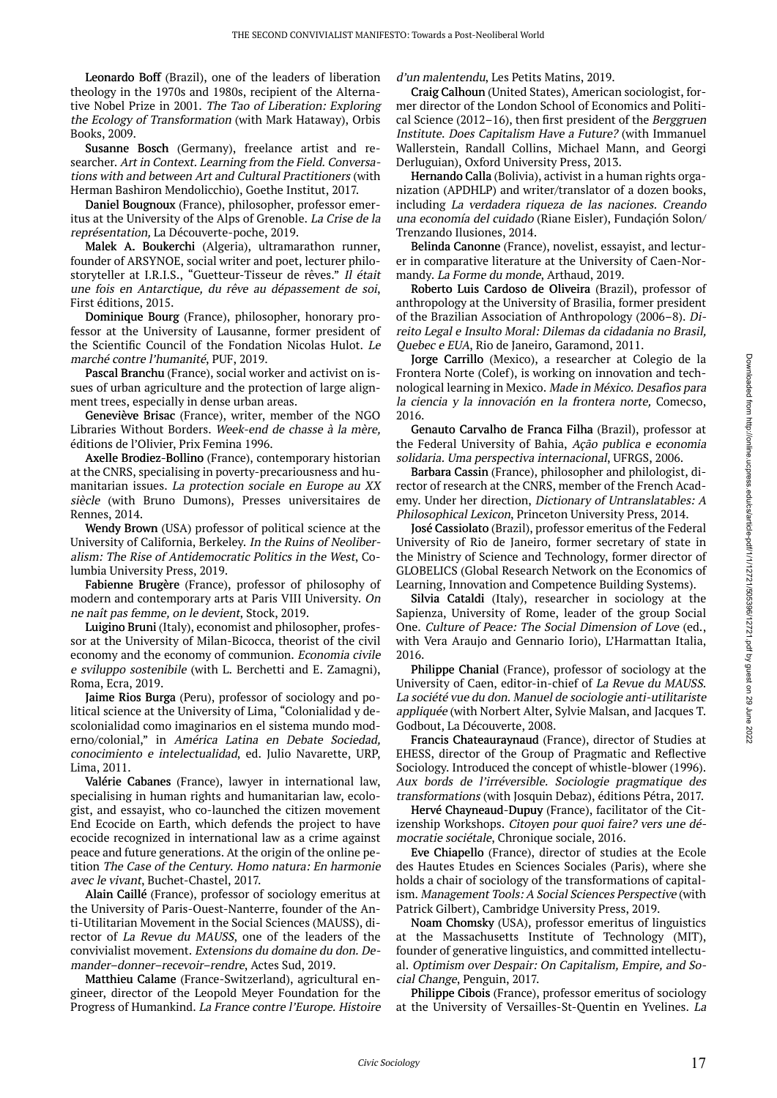Leonardo Boff (Brazil), one of the leaders of liberation theology in the 1970s and 1980s, recipient of the Alternative Nobel Prize in 2001. The Tao of Liberation: Exploring the Ecology of Transformation (with Mark Hataway), Orbis Books, 2009.

Susanne Bosch (Germany), freelance artist and researcher. Art in Context. Learning from the Field. Conversations with and between Art and Cultural Practitioners (with Herman Bashiron Mendolicchio), Goethe Institut, 2017.

Daniel Bougnoux (France), philosopher, professor emeritus at the University of the Alps of Grenoble. La Crise de la représentation, La Découverte-poche, 2019.

Malek A. Boukerchi (Algeria), ultramarathon runner, founder of ARSYNOE, social writer and poet, lecturer philostoryteller at I.R.I.S., "Guetteur-Tisseur de rêves." Il était une fois en Antarctique, du rêve au dépassement de soi, First éditions, 2015.

Dominique Bourg (France), philosopher, honorary professor at the University of Lausanne, former president of the Scientific Council of the Fondation Nicolas Hulot. Le marché contre l'humanité, PUF, 2019.

Pascal Branchu (France), social worker and activist on issues of urban agriculture and the protection of large alignment trees, especially in dense urban areas.

Geneviève Brisac (France), writer, member of the NGO Libraries Without Borders. Week-end de chasse à la mère, éditions de l'Olivier, Prix Femina 1996.

Axelle Brodiez-Bollino (France), contemporary historian at the CNRS, specialising in poverty-precariousness and humanitarian issues. La protection sociale en Europe au XX siècle (with Bruno Dumons), Presses universitaires de Rennes, 2014.

Wendy Brown (USA) professor of political science at the University of California, Berkeley. In the Ruins of Neoliberalism: The Rise of Antidemocratic Politics in the West, Columbia University Press, 2019.

Fabienne Brugère (France), professor of philosophy of modern and contemporary arts at Paris VIII University. On ne naît pas femme, on le devient, Stock, 2019.

Luigino Bruni (Italy), economist and philosopher, professor at the University of Milan-Bicocca, theorist of the civil economy and the economy of communion. Economia civile e sviluppo sostenibile (with L. Berchetti and E. Zamagni), Roma, Ecra, 2019.

Jaime Rios Burga (Peru), professor of sociology and political science at the University of Lima, "Colonialidad y descolonialidad como imaginarios en el sistema mundo moderno/colonial," in América Latina en Debate Sociedad, conocimiento e intelectualidad, ed. Julio Navarette, URP, Lima, 2011.

Valérie Cabanes (France), lawyer in international law, specialising in human rights and humanitarian law, ecologist, and essayist, who co-launched the citizen movement End Ecocide on Earth, which defends the project to have ecocide recognized in international law as a crime against peace and future generations. At the origin of the online petition The Case of the Century. Homo natura: En harmonie avec le vivant, Buchet-Chastel, 2017.

Alain Caillé (France), professor of sociology emeritus at the University of Paris-Ouest-Nanterre, founder of the Anti-Utilitarian Movement in the Social Sciences (MAUSS), director of La Revue du MAUSS, one of the leaders of the convivialist movement. Extensions du domaine du don. Demander–donner–recevoir–rendre, Actes Sud, 2019.

Matthieu Calame (France-Switzerland), agricultural engineer, director of the Leopold Meyer Foundation for the Progress of Humankind. La France contre l'Europe. Histoire d'un malentendu, Les Petits Matins, 2019.

Craig Calhoun (United States), American sociologist, former director of the London School of Economics and Political Science (2012–16), then first president of the Berggruen Institute. Does Capitalism Have a Future? (with Immanuel Wallerstein, Randall Collins, Michael Mann, and Georgi Derluguian), Oxford University Press, 2013.

Hernando Calla (Bolivia), activist in a human rights organization (APDHLP) and writer/translator of a dozen books, including La verdadera riqueza de las naciones. Creando una economía del cuidado (Riane Eisler), Fundaçión Solon/ Trenzando Ilusiones, 2014.

Belinda Canonne (France), novelist, essayist, and lecturer in comparative literature at the University of Caen-Normandy. La Forme du monde, Arthaud, 2019.

Roberto Luis Cardoso de Oliveira (Brazil), professor of anthropology at the University of Brasilia, former president of the Brazilian Association of Anthropology (2006–8). Direito Legal e Insulto Moral: Dilemas da cidadania no Brasil, Quebec e EUA, Rio de Janeiro, Garamond, 2011.

Jorge Carrillo (Mexico), a researcher at Colegio de la Frontera Norte (Colef), is working on innovation and technological learning in Mexico. Made in México. Desafìos para la ciencia y la innovación en la frontera norte, Comecso, 2016.

Genauto Carvalho de Franca Filha (Brazil), professor at the Federal University of Bahia, Ação publica e economia solidaria. Uma perspectiva internacional, UFRGS, 2006.

Barbara Cassin (France), philosopher and philologist, director of research at the CNRS, member of the French Academy. Under her direction, Dictionary of Untranslatables: A Philosophical Lexicon, Princeton University Press, 2014.

José Cassiolato (Brazil), professor emeritus of the Federal University of Rio de Janeiro, former secretary of state in the Ministry of Science and Technology, former director of GLOBELICS (Global Research Network on the Economics of Learning, Innovation and Competence Building Systems).

Silvia Cataldi (Italy), researcher in sociology at the Sapienza, University of Rome, leader of the group Social One. Culture of Peace: The Social Dimension of Love (ed., with Vera Araujo and Gennario Iorio), L'Harmattan Italia, 2016.

Philippe Chanial (France), professor of sociology at the University of Caen, editor-in-chief of La Revue du MAUSS. La société vue du don. Manuel de sociologie anti-utilitariste appliquée (with Norbert Alter, Sylvie Malsan, and Jacques T. Godbout, La Découverte, 2008.

Francis Chateauraynaud (France), director of Studies at EHESS, director of the Group of Pragmatic and Reflective Sociology. Introduced the concept of whistle-blower (1996). Aux bords de l'irréversible. Sociologie pragmatique des transformations (with Josquin Debaz), éditions Pétra, 2017.

Hervé Chayneaud-Dupuy (France), facilitator of the Citizenship Workshops. Citoyen pour quoi faire? vers une démocratie sociétale, Chronique sociale, 2016.

Eve Chiapello (France), director of studies at the Ecole des Hautes Etudes en Sciences Sociales (Paris), where she holds a chair of sociology of the transformations of capitalism. Management Tools: A Social Sciences Perspective (with Patrick Gilbert), Cambridge University Press, 2019.

Noam Chomsky (USA), professor emeritus of linguistics at the Massachusetts Institute of Technology (MIT), founder of generative linguistics, and committed intellectual. Optimism over Despair: On Capitalism, Empire, and Social Change, Penguin, 2017.

Philippe Cibois (France), professor emeritus of sociology at the University of Versailles-St-Quentin en Yvelines. La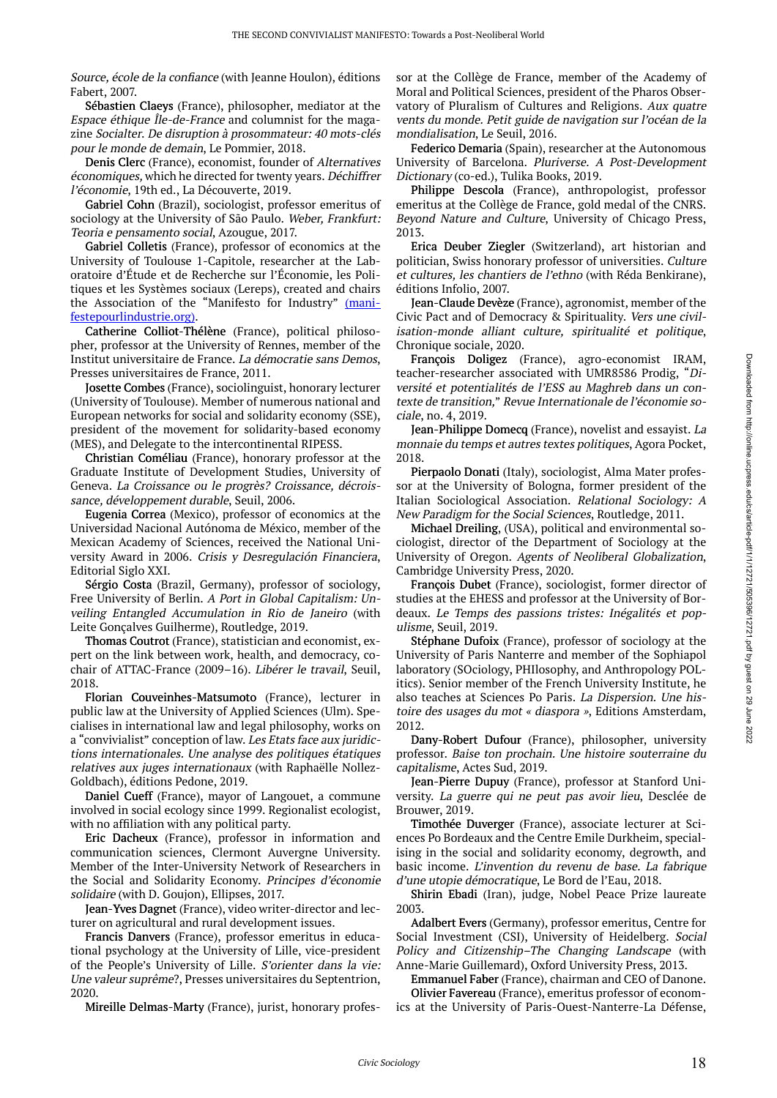Source, école de la confiance (with Jeanne Houlon), éditions Fabert, 2007.

Sébastien Claeys (France), philosopher, mediator at the Espace éthique Île-de-France and columnist for the magazine Socialter. De disruption à prosommateur: 40 mots-clés pour le monde de demain, Le Pommier, 2018.

Denis Clerc (France), economist, founder of Alternatives économiques, which he directed for twenty years. Déchiffrer l'économie, 19th ed., La Découverte, 2019.

Gabriel Cohn (Brazil), sociologist, professor emeritus of sociology at the University of São Paulo. Weber, Frankfurt: Teoria e pensamento social, Azougue, 2017.

Gabriel Colletis (France), professor of economics at the University of Toulouse 1-Capitole, researcher at the Laboratoire d'Étude et de Recherche sur l'Économie, les Politiques et les Systèmes sociaux (Lereps), created and chairs the Association of the "Manifesto for Industry" [\(mani](http://manifestepourlindustrie.org/)[festepourlindustrie.org\).](http://manifestepourlindustrie.org/)

Catherine Colliot-Thélène (France), political philosopher, professor at the University of Rennes, member of the Institut universitaire de France. La démocratie sans Demos, Presses universitaires de France, 2011.

Josette Combes (France), sociolinguist, honorary lecturer (University of Toulouse). Member of numerous national and European networks for social and solidarity economy (SSE), president of the movement for solidarity-based economy (MES), and Delegate to the intercontinental RIPESS.

Christian Coméliau (France), honorary professor at the Graduate Institute of Development Studies, University of Geneva. La Croissance ou le progrès? Croissance, décroissance, développement durable, Seuil, 2006.

Eugenia Correa (Mexico), professor of economics at the Universidad Nacional Autónoma de México, member of the Mexican Academy of Sciences, received the National University Award in 2006. Crisis y Desregulación Financiera, Editorial Siglo XXI.

Sérgio Costa (Brazil, Germany), professor of sociology, Free University of Berlin. A Port in Global Capitalism: Unveiling Entangled Accumulation in Rio de Janeiro (with Leite Gonçalves Guilherme), Routledge, 2019.

Thomas Coutrot (France), statistician and economist, expert on the link between work, health, and democracy, cochair of ATTAC-France (2009–16). Libérer le travail, Seuil, 2018.

Florian Couveinhes-Matsumoto (France), lecturer in public law at the University of Applied Sciences (Ulm). Specialises in international law and legal philosophy, works on a "convivialist" conception of law. Les Etats face aux juridictions internationales. Une analyse des politiques étatiques relatives aux juges internationaux (with Raphaëlle Nollez-Goldbach), éditions Pedone, 2019.

Daniel Cueff (France), mayor of Langouet, a commune involved in social ecology since 1999. Regionalist ecologist, with no affiliation with any political party.

Eric Dacheux (France), professor in information and communication sciences, Clermont Auvergne University. Member of the Inter-University Network of Researchers in the Social and Solidarity Economy. Principes d'économie solidaire (with D. Goujon), Ellipses, 2017.

Jean-Yves Dagnet (France), video writer-director and lecturer on agricultural and rural development issues.

Francis Danvers (France), professor emeritus in educational psychology at the University of Lille, vice-president of the People's University of Lille. S'orienter dans la vie: Une valeur suprême?, Presses universitaires du Septentrion, 2020.

Mireille Delmas-Marty (France), jurist, honorary profes-

sor at the Collège de France, member of the Academy of Moral and Political Sciences, president of the Pharos Observatory of Pluralism of Cultures and Religions. Aux quatre vents du monde. Petit guide de navigation sur l'océan de la mondialisation, Le Seuil, 2016.

Federico Demaria (Spain), researcher at the Autonomous University of Barcelona. Pluriverse. A Post-Development Dictionary (co-ed.), Tulika Books, 2019.

Philippe Descola (France), anthropologist, professor emeritus at the Collège de France, gold medal of the CNRS. Beyond Nature and Culture, University of Chicago Press, 2013.

Erica Deuber Ziegler (Switzerland), art historian and politician, Swiss honorary professor of universities. Culture et cultures, les chantiers de l'ethno (with Réda Benkirane), éditions Infolio, 2007.

Jean-Claude Devèze (France), agronomist, member of the Civic Pact and of Democracy & Spirituality. Vers une civilisation-monde alliant culture, spiritualité et politique, Chronique sociale, 2020.

François Doligez (France), agro-economist IRAM, teacher-researcher associated with UMR8586 Prodig, "Diversité et potentialités de l'ESS au Maghreb dans un contexte de transition," Revue Internationale de l'économie sociale, no. 4, 2019.

Jean-Philippe Domecq (France), novelist and essayist. La monnaie du temps et autres textes politiques, Agora Pocket, 2018.

Pierpaolo Donati (Italy), sociologist, Alma Mater professor at the University of Bologna, former president of the Italian Sociological Association. Relational Sociology: A New Paradigm for the Social Sciences, Routledge, 2011.

Michael Dreiling, (USA), political and environmental sociologist, director of the Department of Sociology at the University of Oregon. Agents of Neoliberal Globalization, Cambridge University Press, 2020.

François Dubet (France), sociologist, former director of studies at the EHESS and professor at the University of Bordeaux. Le Temps des passions tristes: Inégalités et populisme, Seuil, 2019.

Stéphane Dufoix (France), professor of sociology at the University of Paris Nanterre and member of the Sophiapol laboratory (SOciology, PHIlosophy, and Anthropology POLitics). Senior member of the French University Institute, he also teaches at Sciences Po Paris. La Dispersion. Une histoire des usages du mot « diaspora », Editions Amsterdam, 2012.

Dany-Robert Dufour (France), philosopher, university professor. Baise ton prochain. Une histoire souterraine du capitalisme, Actes Sud, 2019.

Jean-Pierre Dupuy (France), professor at Stanford University. La guerre qui ne peut pas avoir lieu, Desclée de Brouwer, 2019.

Timothée Duverger (France), associate lecturer at Sciences Po Bordeaux and the Centre Emile Durkheim, specialising in the social and solidarity economy, degrowth, and basic income. L'invention du revenu de base. La fabrique d'une utopie démocratique, Le Bord de l'Eau, 2018.

Shirin Ebadi (Iran), judge, Nobel Peace Prize laureate 2003.

Adalbert Evers (Germany), professor emeritus, Centre for Social Investment (CSI), University of Heidelberg. Social Policy and Citizenship–The Changing Landscape (with Anne-Marie Guillemard), Oxford University Press, 2013.

Emmanuel Faber (France), chairman and CEO of Danone.

Olivier Favereau (France), emeritus professor of economics at the University of Paris-Ouest-Nanterre-La Défense,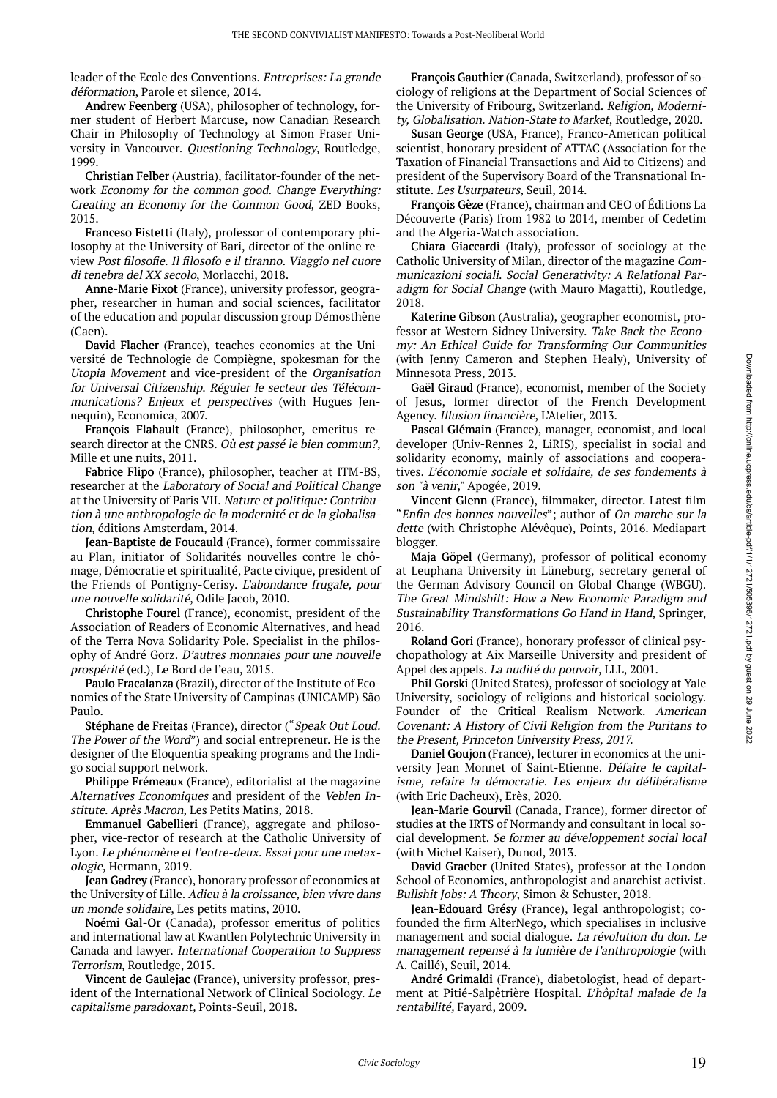leader of the Ecole des Conventions. Entreprises: La grande déformation, Parole et silence, 2014.

Andrew Feenberg (USA), philosopher of technology, former student of Herbert Marcuse, now Canadian Research Chair in Philosophy of Technology at Simon Fraser University in Vancouver. Questioning Technology, Routledge, 1999.

Christian Felber (Austria), facilitator-founder of the network Economy for the common good. Change Everything: Creating an Economy for the Common Good, ZED Books, 2015.

Franceso Fistetti (Italy), professor of contemporary philosophy at the University of Bari, director of the online review Post filosofie. Il filosofo e il tiranno. Viaggio nel cuore di tenebra del XX secolo, Morlacchi, 2018.

Anne-Marie Fixot (France), university professor, geographer, researcher in human and social sciences, facilitator of the education and popular discussion group Démosthène (Caen).

David Flacher (France), teaches economics at the Université de Technologie de Compiègne, spokesman for the Utopia Movement and vice-president of the Organisation for Universal Citizenship. Réguler le secteur des Télécommunications? Enjeux et perspectives (with Hugues Jennequin), Economica, 2007.

François Flahault (France), philosopher, emeritus research director at the CNRS. Où est passé le bien commun?, Mille et une nuits, 2011.

Fabrice Flipo (France), philosopher, teacher at ITM-BS, researcher at the Laboratory of Social and Political Change at the University of Paris VII. Nature et politique: Contribution à une anthropologie de la modernité et de la globalisation, éditions Amsterdam, 2014.

Jean-Baptiste de Foucauld (France), former commissaire au Plan, initiator of Solidarités nouvelles contre le chômage, Démocratie et spiritualité, Pacte civique, president of the Friends of Pontigny-Cerisy. L'abondance frugale, pour une nouvelle solidarité, Odile Jacob, 2010.

Christophe Fourel (France), economist, president of the Association of Readers of Economic Alternatives, and head of the Terra Nova Solidarity Pole. Specialist in the philosophy of André Gorz. D'autres monnaies pour une nouvelle prospérité (ed.), Le Bord de l'eau, 2015.

Paulo Fracalanza (Brazil), director of the Institute of Economics of the State University of Campinas (UNICAMP) São Paulo.

Stéphane de Freitas (France), director ("Speak Out Loud. The Power of the Word") and social entrepreneur. He is the designer of the Eloquentia speaking programs and the Indigo social support network.

Philippe Frémeaux (France), editorialist at the magazine Alternatives Economiques and president of the Veblen Institute. Après Macron, Les Petits Matins, 2018.

Emmanuel Gabellieri (France), aggregate and philosopher, vice-rector of research at the Catholic University of Lyon. Le phénomène et l'entre-deux. Essai pour une metaxologie, Hermann, 2019.

Jean Gadrey (France), honorary professor of economics at the University of Lille. Adieu à la croissance, bien vivre dans un monde solidaire, Les petits matins, 2010.

Noémi Gal-Or (Canada), professor emeritus of politics and international law at Kwantlen Polytechnic University in Canada and lawyer. International Cooperation to Suppress Terrorism, Routledge, 2015.

Vincent de Gaulejac (France), university professor, president of the International Network of Clinical Sociology. Le capitalisme paradoxant, Points-Seuil, 2018.

François Gauthier (Canada, Switzerland), professor of sociology of religions at the Department of Social Sciences of the University of Fribourg, Switzerland. Religion, Modernity, Globalisation. Nation-State to Market, Routledge, 2020.

Susan George (USA, France), Franco-American political scientist, honorary president of ATTAC (Association for the Taxation of Financial Transactions and Aid to Citizens) and president of the Supervisory Board of the Transnational Institute. Les Usurpateurs, Seuil, 2014.

François Gèze (France), chairman and CEO of Éditions La Découverte (Paris) from 1982 to 2014, member of Cedetim and the Algeria-Watch association.

Chiara Giaccardi (Italy), professor of sociology at the Catholic University of Milan, director of the magazine Communicazioni sociali. Social Generativity: A Relational Paradigm for Social Change (with Mauro Magatti), Routledge, 2018.

Katerine Gibson (Australia), geographer economist, professor at Western Sidney University. Take Back the Economy: An Ethical Guide for Transforming Our Communities (with Jenny Cameron and Stephen Healy), University of Minnesota Press, 2013.

Gaël Giraud (France), economist, member of the Society of Jesus, former director of the French Development Agency. Illusion financière, L'Atelier, 2013.

Pascal Glémain (France), manager, economist, and local developer (Univ-Rennes 2, LiRIS), specialist in social and solidarity economy, mainly of associations and cooperatives. L'économie sociale et solidaire, de ses fondements à son "à venir," Apogée, 2019.

Vincent Glenn (France), filmmaker, director. Latest film "Enfin des bonnes nouvelles"; author of On marche sur la dette (with Christophe Alévêque), Points, 2016. Mediapart blogger.

Maja Göpel (Germany), professor of political economy at Leuphana University in Lüneburg, secretary general of the German Advisory Council on Global Change (WBGU). The Great Mindshift: How a New Economic Paradigm and Sustainability Transformations Go Hand in Hand, Springer, 2016.

Roland Gori (France), honorary professor of clinical psychopathology at Aix Marseille University and president of Appel des appels. La nudité du pouvoir, LLL, 2001.

Phil Gorski (United States), professor of sociology at Yale University, sociology of religions and historical sociology. Founder of the Critical Realism Network. American Covenant: A History of Civil Religion from the Puritans to the Present, Princeton University Press, 2017.

Daniel Goujon (France), lecturer in economics at the university Jean Monnet of Saint-Etienne. Défaire le capitalisme, refaire la démocratie. Les enjeux du délibéralisme (with Eric Dacheux), Erès, 2020.

Jean-Marie Gourvil (Canada, France), former director of studies at the IRTS of Normandy and consultant in local social development. Se former au développement social local (with Michel Kaiser), Dunod, 2013.

David Graeber (United States), professor at the London School of Economics, anthropologist and anarchist activist. Bullshit Jobs: A Theory, Simon & Schuster, 2018.

Jean-Edouard Grésy (France), legal anthropologist; cofounded the firm AlterNego, which specialises in inclusive management and social dialogue. La révolution du don. Le management repensé à la lumière de l'anthropologie (with A. Caillé), Seuil, 2014.

André Grimaldi (France), diabetologist, head of department at Pitié-Salpêtrière Hospital. L'hôpital malade de la rentabilité, Fayard, 2009.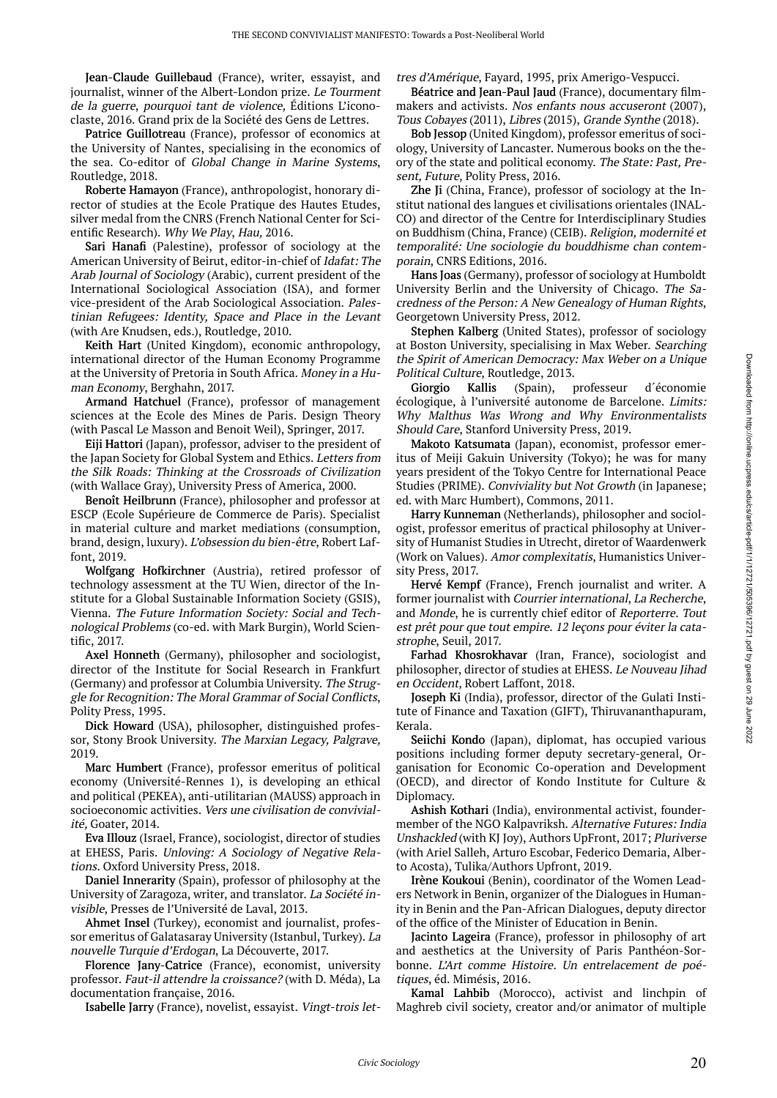Jean-Claude Guillebaud (France), writer, essayist, and journalist, winner of the Albert-London prize. Le Tourment de la guerre, pourquoi tant de violence, Éditions L'iconoclaste, 2016. Grand prix de la Société des Gens de Lettres.

Patrice Guillotreau (France), professor of economics at the University of Nantes, specialising in the economics of the sea. Co-editor of Global Change in Marine Systems, Routledge, 2018.

Roberte Hamayon (France), anthropologist, honorary director of studies at the Ecole Pratique des Hautes Etudes, silver medal from the CNRS (French National Center for Scientific Research). Why We Play, Hau, 2016.

Sari Hanafi (Palestine), professor of sociology at the American University of Beirut, editor-in-chief of Idafat: The Arab Journal of Sociology (Arabic), current president of the International Sociological Association (ISA), and former vice-president of the Arab Sociological Association. Palestinian Refugees: Identity, Space and Place in the Levant (with Are Knudsen, eds.), Routledge, 2010.

Keith Hart (United Kingdom), economic anthropology, international director of the Human Economy Programme at the University of Pretoria in South Africa. Money in a Human Economy, Berghahn, 2017.

Armand Hatchuel (France), professor of management sciences at the Ecole des Mines de Paris. Design Theory (with Pascal Le Masson and Benoit Weil), Springer, 2017.

Eiji Hattori (Japan), professor, adviser to the president of the Japan Society for Global System and Ethics. Letters from the Silk Roads: Thinking at the Crossroads of Civilization (with Wallace Gray), University Press of America, 2000.

Benoît Heilbrunn (France), philosopher and professor at ESCP (Ecole Supérieure de Commerce de Paris). Specialist in material culture and market mediations (consumption, brand, design, luxury). L'obsession du bien-être, Robert Laffont, 2019.

Wolfgang Hofkirchner (Austria), retired professor of technology assessment at the TU Wien, director of the Institute for a Global Sustainable Information Society (GSIS), Vienna. The Future Information Society: Social and Technological Problems (co-ed. with Mark Burgin), World Scientific, 2017.

Axel Honneth (Germany), philosopher and sociologist, director of the Institute for Social Research in Frankfurt (Germany) and professor at Columbia University. The Struggle for Recognition: The Moral Grammar of Social Conflicts, Polity Press, 1995.

Dick Howard (USA), philosopher, distinguished professor, Stony Brook University. The Marxian Legacy, Palgrave, 2019.

Marc Humbert (France), professor emeritus of political economy (Université-Rennes 1), is developing an ethical and political (PEKEA), anti-utilitarian (MAUSS) approach in socioeconomic activities. Vers une civilisation de convivialité, Goater, 2014.

Eva Illouz (Israel, France), sociologist, director of studies at EHESS, Paris. Unloving: A Sociology of Negative Relations. Oxford University Press, 2018.

Daniel Innerarity (Spain), professor of philosophy at the University of Zaragoza, writer, and translator. La Société invisible, Presses de l'Université de Laval, 2013.

Ahmet Insel (Turkey), economist and journalist, professor emeritus of Galatasaray University (Istanbul, Turkey). La nouvelle Turquie d'Erdogan, La Découverte, 2017.

Florence Jany-Catrice (France), economist, university professor. Faut-il attendre la croissance? (with D. Méda), La documentation française, 2016.

Isabelle Jarry (France), novelist, essayist. Vingt-trois let-

tres d'Amérique, Fayard, 1995, prix Amerigo-Vespucci.

Béatrice and Jean-Paul Jaud (France), documentary filmmakers and activists. Nos enfants nous accuseront (2007), Tous Cobayes (2011), Libres (2015), Grande Synthe (2018).

Bob Jessop (United Kingdom), professor emeritus of sociology, University of Lancaster. Numerous books on the theory of the state and political economy. The State: Past, Present, Future, Polity Press, 2016.

Zhe Ji (China, France), professor of sociology at the Institut national des langues et civilisations orientales (INAL-CO) and director of the Centre for Interdisciplinary Studies on Buddhism (China, France) (CEIB). Religion, modernité et temporalité: Une sociologie du bouddhisme chan contemporain, CNRS Editions, 2016.

Hans Joas (Germany), professor of sociology at Humboldt University Berlin and the University of Chicago. The Sacredness of the Person: A New Genealogy of Human Rights, Georgetown University Press, 2012.

Stephen Kalberg (United States), professor of sociology at Boston University, specialising in Max Weber. Searching the Spirit of American Democracy: Max Weber on a Unique Political Culture, Routledge, 2013.

Giorgio Kallis (Spain), professeur d´économie écologique, à l'université autonome de Barcelone. Limits: Why Malthus Was Wrong and Why Environmentalists Should Care, Stanford University Press, 2019.

Makoto Katsumata (Japan), economist, professor emeritus of Meiji Gakuin University (Tokyo); he was for many years president of the Tokyo Centre for International Peace Studies (PRIME). Conviviality but Not Growth (in Japanese; ed. with Marc Humbert), Commons, 2011.

Harry Kunneman (Netherlands), philosopher and sociologist, professor emeritus of practical philosophy at University of Humanist Studies in Utrecht, diretor of Waardenwerk (Work on Values). Amor complexitatis, Humanistics University Press, 2017.

Hervé Kempf (France), French journalist and writer. A former journalist with Courrier international, La Recherche, and Monde, he is currently chief editor of Reporterre. Tout est prêt pour que tout empire. 12 leçons pour éviter la catastrophe, Seuil, 2017.

Farhad Khosrokhavar (Iran, France), sociologist and philosopher, director of studies at EHESS. Le Nouveau Jihad en Occident, Robert Laffont, 2018.

Joseph Ki (India), professor, director of the Gulati Institute of Finance and Taxation (GIFT), Thiruvananthapuram, Kerala.

Seiichi Kondo (Japan), diplomat, has occupied various positions including former deputy secretary-general, Organisation for Economic Co-operation and Development (OECD), and director of Kondo Institute for Culture & Diplomacy.

Ashish Kothari (India), environmental activist, foundermember of the NGO Kalpavriksh. Alternative Futures: India Unshackled (with KJ Joy), Authors UpFront, 2017; Pluriverse (with Ariel Salleh, Arturo Escobar, Federico Demaria, Alberto Acosta), Tulika/Authors Upfront, 2019.

Irène Koukoui (Benin), coordinator of the Women Leaders Network in Benin, organizer of the Dialogues in Humanity in Benin and the Pan-African Dialogues, deputy director of the office of the Minister of Education in Benin.

Jacinto Lageira (France), professor in philosophy of art and aesthetics at the University of Paris Panthéon-Sorbonne. L'Art comme Histoire. Un entrelacement de poétiques, éd. Mimésis, 2016.

Kamal Lahbib (Morocco), activist and linchpin of Maghreb civil society, creator and/or animator of multiple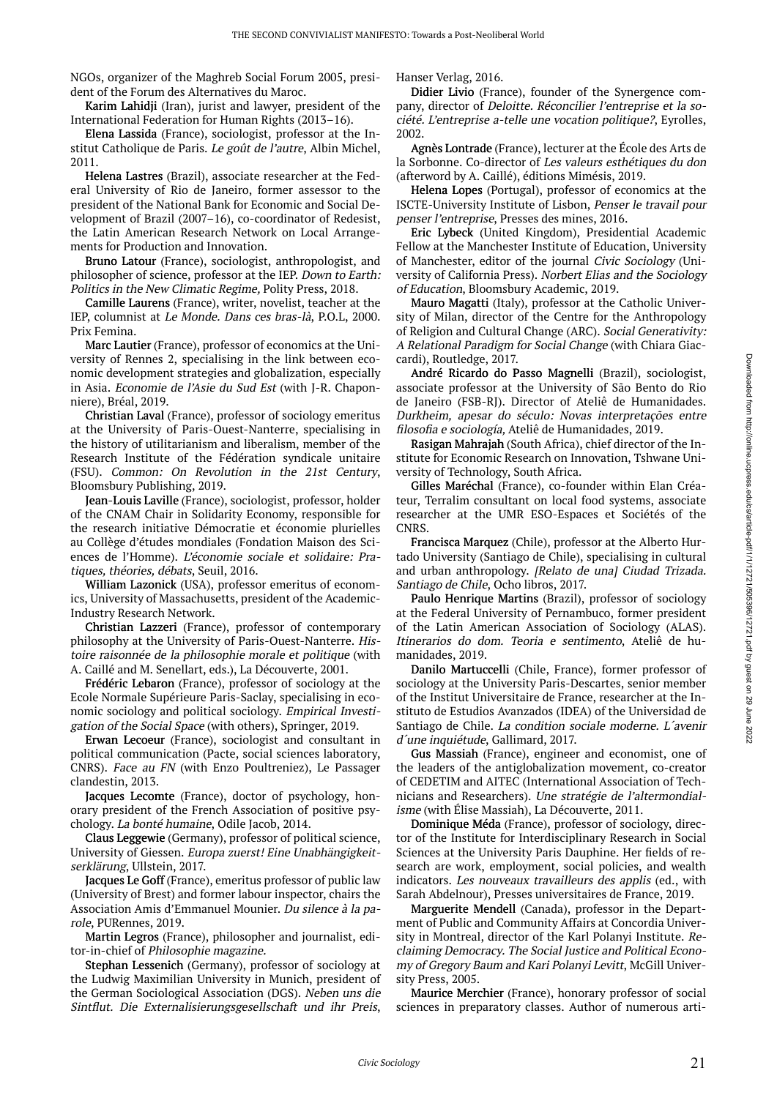NGOs, organizer of the Maghreb Social Forum 2005, president of the Forum des Alternatives du Maroc.

Karim Lahidji (Iran), jurist and lawyer, president of the International Federation for Human Rights (2013–16).

Elena Lassida (France), sociologist, professor at the Institut Catholique de Paris. Le goût de l'autre, Albin Michel, 2011.

Helena Lastres (Brazil), associate researcher at the Federal University of Rio de Janeiro, former assessor to the president of the National Bank for Economic and Social Development of Brazil (2007–16), co-coordinator of Redesist, the Latin American Research Network on Local Arrangements for Production and Innovation.

Bruno Latour (France), sociologist, anthropologist, and philosopher of science, professor at the IEP. Down to Earth: Politics in the New Climatic Regime, Polity Press, 2018.

Camille Laurens (France), writer, novelist, teacher at the IEP, columnist at Le Monde. Dans ces bras-là, P.O.L, 2000. Prix Femina.

Marc Lautier (France), professor of economics at the University of Rennes 2, specialising in the link between economic development strategies and globalization, especially in Asia. Economie de l'Asie du Sud Est (with J-R. Chaponniere), Bréal, 2019.

Christian Laval (France), professor of sociology emeritus at the University of Paris-Ouest-Nanterre, specialising in the history of utilitarianism and liberalism, member of the Research Institute of the Fédération syndicale unitaire (FSU). Common: On Revolution in the 21st Century, Bloomsbury Publishing, 2019.

Jean-Louis Laville (France), sociologist, professor, holder of the CNAM Chair in Solidarity Economy, responsible for the research initiative Démocratie et économie plurielles au Collège d'études mondiales (Fondation Maison des Sciences de l'Homme). L'économie sociale et solidaire: Pratiques, théories, débats, Seuil, 2016.

William Lazonick (USA), professor emeritus of economics, University of Massachusetts, president of the Academic-Industry Research Network.

Christian Lazzeri (France), professor of contemporary philosophy at the University of Paris-Ouest-Nanterre. Histoire raisonnée de la philosophie morale et politique (with A. Caillé and M. Senellart, eds.), La Découverte, 2001.

Frédéric Lebaron (France), professor of sociology at the Ecole Normale Supérieure Paris-Saclay, specialising in economic sociology and political sociology. Empirical Investigation of the Social Space (with others), Springer, 2019.

Erwan Lecoeur (France), sociologist and consultant in political communication (Pacte, social sciences laboratory, CNRS). Face au FN (with Enzo Poultreniez), Le Passager clandestin, 2013.

Jacques Lecomte (France), doctor of psychology, honorary president of the French Association of positive psychology. La bonté humaine, Odile Jacob, 2014.

Claus Leggewie (Germany), professor of political science, University of Giessen. Europa zuerst! Eine Unabhängigkeitserklärung, Ullstein, 2017.

Jacques Le Goff (France), emeritus professor of public law (University of Brest) and former labour inspector, chairs the Association Amis d'Emmanuel Mounier. Du silence à la parole, PURennes, 2019.

Martin Legros (France), philosopher and journalist, editor-in-chief of Philosophie magazine.

Stephan Lessenich (Germany), professor of sociology at the Ludwig Maximilian University in Munich, president of the German Sociological Association (DGS). Neben uns die Sintflut. Die Externalisierungsgesellschaft und ihr Preis,

Hanser Verlag, 2016.

Didier Livio (France), founder of the Synergence company, director of Deloitte. Réconcilier l'entreprise et la société. L'entreprise a-telle une vocation politique?, Eyrolles, 2002.

Agnès Lontrade (France), lecturer at the École des Arts de la Sorbonne. Co-director of Les valeurs esthétiques du don (afterword by A. Caillé), éditions Mimésis, 2019.

Helena Lopes (Portugal), professor of economics at the ISCTE-University Institute of Lisbon, Penser le travail pour penser l'entreprise, Presses des mines, 2016.

Eric Lybeck (United Kingdom), Presidential Academic Fellow at the Manchester Institute of Education, University of Manchester, editor of the journal Civic Sociology (University of California Press). Norbert Elias and the Sociology of Education, Bloomsbury Academic, 2019.

Mauro Magatti (Italy), professor at the Catholic University of Milan, director of the Centre for the Anthropology of Religion and Cultural Change (ARC). Social Generativity: A Relational Paradigm for Social Change (with Chiara Giaccardi), Routledge, 2017.

André Ricardo do Passo Magnelli (Brazil), sociologist, associate professor at the University of São Bento do Rio de Janeiro (FSB-RJ). Director of Ateliê de Humanidades. Durkheim, apesar do século: Novas interpretações entre filosofia e sociología, Ateliê de Humanidades, 2019.

Rasigan Mahrajah (South Africa), chief director of the Institute for Economic Research on Innovation, Tshwane University of Technology, South Africa.

Gilles Maréchal (France), co-founder within Elan Créateur, Terralim consultant on local food systems, associate researcher at the UMR ESO-Espaces et Sociétés of the CNRS.

Francisca Marquez (Chile), professor at the Alberto Hurtado University (Santiago de Chile), specialising in cultural and urban anthropology. [Relato de una] Ciudad Trizada. Santiago de Chile, Ocho libros, 2017.

Paulo Henrique Martins (Brazil), professor of sociology at the Federal University of Pernambuco, former president of the Latin American Association of Sociology (ALAS). Itinerarios do dom. Teoria e sentimento, Ateliê de humanidades, 2019.

Danilo Martuccelli (Chile, France), former professor of sociology at the University Paris-Descartes, senior member of the Institut Universitaire de France, researcher at the Instituto de Estudios Avanzados (IDEA) of the Universidad de Santiago de Chile. La condition sociale moderne. L´avenir d´une inquiétude, Gallimard, 2017.

Gus Massiah (France), engineer and economist, one of the leaders of the antiglobalization movement, co-creator of CEDETIM and AITEC (International Association of Technicians and Researchers). Une stratégie de l'altermondialisme (with Élise Massiah), La Découverte, 2011.

Dominique Méda (France), professor of sociology, director of the Institute for Interdisciplinary Research in Social Sciences at the University Paris Dauphine. Her fields of research are work, employment, social policies, and wealth indicators. Les nouveaux travailleurs des applis (ed., with Sarah Abdelnour), Presses universitaires de France, 2019.

Marguerite Mendell (Canada), professor in the Department of Public and Community Affairs at Concordia University in Montreal, director of the Karl Polanyi Institute. Reclaiming Democracy. The Social Justice and Political Economy of Gregory Baum and Kari Polanyi Levitt, McGill University Press, 2005.

Maurice Merchier (France), honorary professor of social sciences in preparatory classes. Author of numerous arti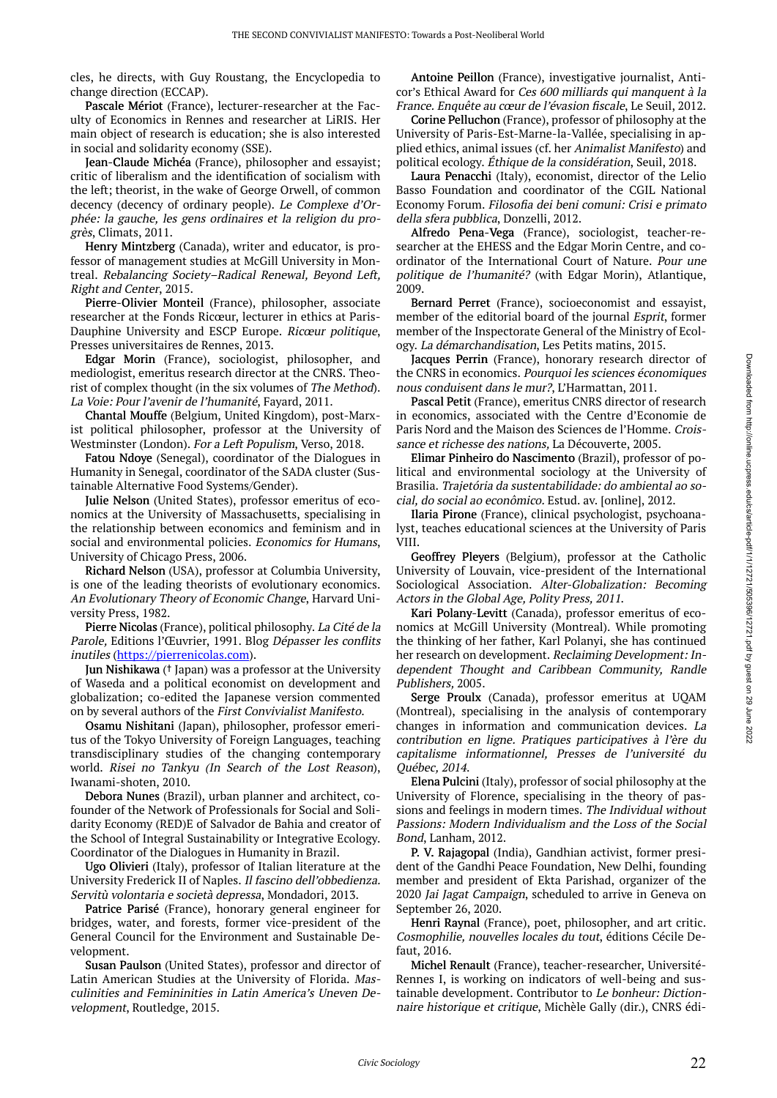cles, he directs, with Guy Roustang, the Encyclopedia to change direction (ECCAP).

Pascale Mériot (France), lecturer-researcher at the Faculty of Economics in Rennes and researcher at LiRIS. Her main object of research is education; she is also interested in social and solidarity economy (SSE).

Jean-Claude Michéa (France), philosopher and essayist; critic of liberalism and the identification of socialism with the left; theorist, in the wake of George Orwell, of common decency (decency of ordinary people). Le Complexe d'Orphée: la gauche, les gens ordinaires et la religion du progrès, Climats, 2011.

Henry Mintzberg (Canada), writer and educator, is professor of management studies at McGill University in Montreal. Rebalancing Society–Radical Renewal, Beyond Left, Right and Center, 2015.

Pierre-Olivier Monteil (France), philosopher, associate researcher at the Fonds Ricœur, lecturer in ethics at Paris-Dauphine University and ESCP Europe. *Ricœur politique*, Presses universitaires de Rennes, 2013.

Edgar Morin (France), sociologist, philosopher, and mediologist, emeritus research director at the CNRS. Theorist of complex thought (in the six volumes of The Method). La Voie: Pour l'avenir de l'humanité, Fayard, 2011.

Chantal Mouffe (Belgium, United Kingdom), post-Marxist political philosopher, professor at the University of Westminster (London). For a Left Populism, Verso, 2018.

Fatou Ndoye (Senegal), coordinator of the Dialogues in Humanity in Senegal, coordinator of the SADA cluster (Sustainable Alternative Food Systems/Gender).

Julie Nelson (United States), professor emeritus of economics at the University of Massachusetts, specialising in the relationship between economics and feminism and in social and environmental policies. Economics for Humans, University of Chicago Press, 2006.

Richard Nelson (USA), professor at Columbia University, is one of the leading theorists of evolutionary economics. An Evolutionary Theory of Economic Change, Harvard University Press, 1982.

Pierre Nicolas (France), political philosophy. La Cité de la Parole, Editions l'Œuvrier, 1991. Blog Dépasser les conflits inutiles ([https://pierrenicolas.com](https://pierrenicolas.com/)).

Jun Nishikawa († Japan) was a professor at the University of Waseda and a political economist on development and globalization; co-edited the Japanese version commented on by several authors of the First Convivialist Manifesto.

Osamu Nishitani (Japan), philosopher, professor emeritus of the Tokyo University of Foreign Languages, teaching transdisciplinary studies of the changing contemporary world. Risei no Tankyu (In Search of the Lost Reason), Iwanami-shoten, 2010.

Debora Nunes (Brazil), urban planner and architect, cofounder of the Network of Professionals for Social and Solidarity Economy (RED)E of Salvador de Bahia and creator of the School of Integral Sustainability or Integrative Ecology. Coordinator of the Dialogues in Humanity in Brazil.

Ugo Olivieri (Italy), professor of Italian literature at the University Frederick II of Naples. Il fascino dell'obbedienza. Servitù volontaria e società depressa, Mondadori, 2013.

Patrice Parisé (France), honorary general engineer for bridges, water, and forests, former vice-president of the General Council for the Environment and Sustainable Development.

Susan Paulson (United States), professor and director of Latin American Studies at the University of Florida. Masculinities and Femininities in Latin America's Uneven Development, Routledge, 2015.

Antoine Peillon (France), investigative journalist, Anticor's Ethical Award for Ces 600 milliards qui manquent à la France. Enquête au cœur de l'évasion fiscale, Le Seuil, 2012.

Corine Pelluchon (France), professor of philosophy at the University of Paris-Est-Marne-la-Vallée, specialising in applied ethics, animal issues (cf. her Animalist Manifesto) and political ecology. Éthique de la considération, Seuil, 2018.

Laura Penacchi (Italy), economist, director of the Lelio Basso Foundation and coordinator of the CGIL National Economy Forum. Filosofia dei beni comuni: Crisi e primato della sfera pubblica, Donzelli, 2012.

Alfredo Pena-Vega (France), sociologist, teacher-researcher at the EHESS and the Edgar Morin Centre, and coordinator of the International Court of Nature. Pour une politique de l'humanité? (with Edgar Morin), Atlantique, 2009.

Bernard Perret (France), socioeconomist and essayist, member of the editorial board of the journal Esprit, former member of the Inspectorate General of the Ministry of Ecology. La démarchandisation, Les Petits matins, 2015.

Jacques Perrin (France), honorary research director of the CNRS in economics. Pourquoi les sciences économiques nous conduisent dans le mur?, L'Harmattan, 2011.

Pascal Petit (France), emeritus CNRS director of research in economics, associated with the Centre d'Economie de Paris Nord and the Maison des Sciences de l'Homme. Croissance et richesse des nations, La Découverte, 2005.

Elimar Pinheiro do Nascimento (Brazil), professor of political and environmental sociology at the University of Brasilia. Trajetória da sustentabilidade: do ambiental ao social, do social ao econômico. Estud. av. [online], 2012.

Ilaria Pirone (France), clinical psychologist, psychoanalyst, teaches educational sciences at the University of Paris VIII.

Geoffrey Pleyers (Belgium), professor at the Catholic University of Louvain, vice-president of the International Sociological Association. Alter-Globalization: Becoming Actors in the Global Age, Polity Press, 2011.

Kari Polany-Levitt (Canada), professor emeritus of economics at McGill University (Montreal). While promoting the thinking of her father, Karl Polanyi, she has continued her research on development. Reclaiming Development: Independent Thought and Caribbean Community, Randle Publishers, 2005.

Serge Proulx (Canada), professor emeritus at UQAM (Montreal), specialising in the analysis of contemporary changes in information and communication devices. La contribution en ligne. Pratiques participatives à l'ère du capitalisme informationnel, Presses de l'université du Québec, 2014.

Elena Pulcini (Italy), professor of social philosophy at the University of Florence, specialising in the theory of passions and feelings in modern times. The Individual without Passions: Modern Individualism and the Loss of the Social Bond, Lanham, 2012.

P. V. Rajagopal (India), Gandhian activist, former president of the Gandhi Peace Foundation, New Delhi, founding member and president of Ekta Parishad, organizer of the 2020 Jai Jagat Campaign, scheduled to arrive in Geneva on September 26, 2020.

Henri Raynal (France), poet, philosopher, and art critic. Cosmophilie, nouvelles locales du tout, éditions Cécile Defaut, 2016.

Michel Renault (France), teacher-researcher, Université-Rennes I, is working on indicators of well-being and sustainable development. Contributor to Le bonheur: Dictionnaire historique et critique, Michèle Gally (dir.), CNRS édi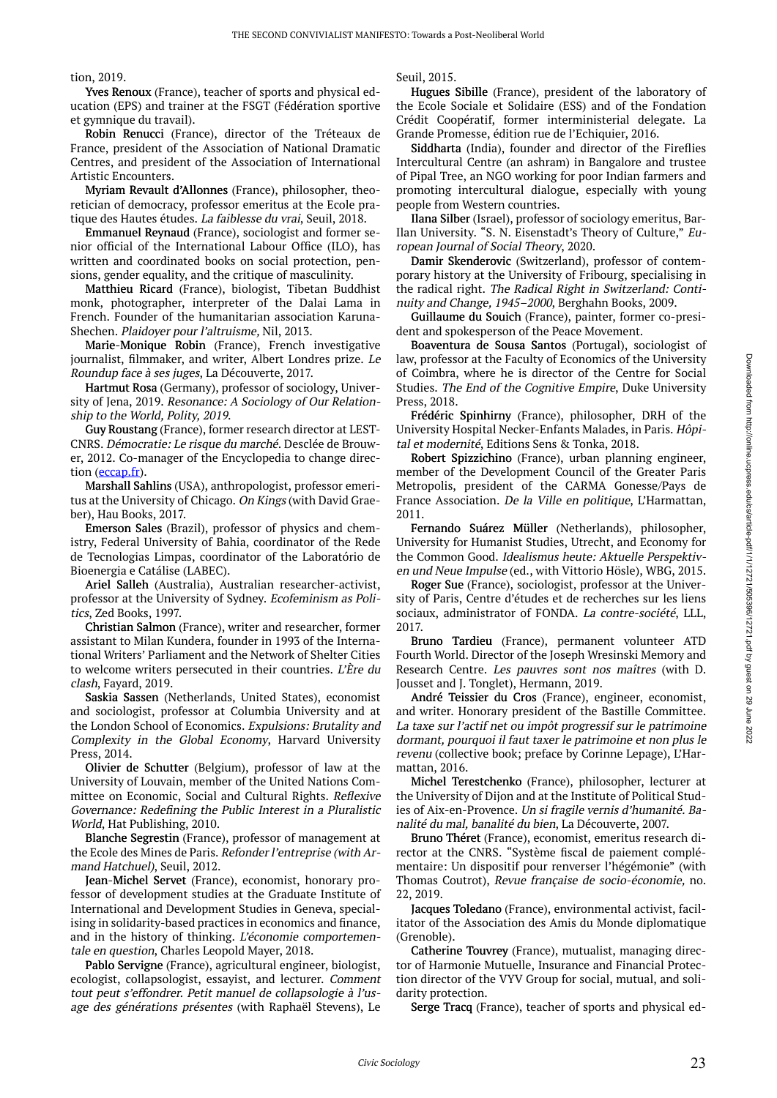tion, 2019.

Yves Renoux (France), teacher of sports and physical education (EPS) and trainer at the FSGT (Fédération sportive et gymnique du travail).

Robin Renucci (France), director of the Tréteaux de France, president of the Association of National Dramatic Centres, and president of the Association of International Artistic Encounters.

Myriam Revault d'Allonnes (France), philosopher, theoretician of democracy, professor emeritus at the Ecole pratique des Hautes études. La faiblesse du vrai, Seuil, 2018.

Emmanuel Reynaud (France), sociologist and former senior official of the International Labour Office (ILO), has written and coordinated books on social protection, pensions, gender equality, and the critique of masculinity.

Matthieu Ricard (France), biologist, Tibetan Buddhist monk, photographer, interpreter of the Dalai Lama in French. Founder of the humanitarian association Karuna-Shechen. Plaidoyer pour l'altruisme, Nil, 2013.

Marie-Monique Robin (France), French investigative journalist, filmmaker, and writer, Albert Londres prize. Le Roundup face à ses juges, La Découverte, 2017.

Hartmut Rosa (Germany), professor of sociology, University of Jena, 2019. Resonance: A Sociology of Our Relationship to the World, Polity, 2019.

Guy Roustang (France), former research director at LEST-CNRS. Démocratie: Le risque du marché. Desclée de Brouwer, 2012. Co-manager of the Encyclopedia to change direction ([eccap.fr](http://eccap.fr/)).

Marshall Sahlins (USA), anthropologist, professor emeritus at the University of Chicago. On Kings (with David Graeber), Hau Books, 2017.

Emerson Sales (Brazil), professor of physics and chemistry, Federal University of Bahia, coordinator of the Rede de Tecnologias Limpas, coordinator of the Laboratório de Bioenergia e Catálise (LABEC).

Ariel Salleh (Australia), Australian researcher-activist, professor at the University of Sydney. Ecofeminism as Politics, Zed Books, 1997.

Christian Salmon (France), writer and researcher, former assistant to Milan Kundera, founder in 1993 of the International Writers' Parliament and the Network of Shelter Cities to welcome writers persecuted in their countries. L'Ère du clash, Fayard, 2019.

Saskia Sassen (Netherlands, United States), economist and sociologist, professor at Columbia University and at the London School of Economics. Expulsions: Brutality and Complexity in the Global Economy, Harvard University Press, 2014.

Olivier de Schutter (Belgium), professor of law at the University of Louvain, member of the United Nations Committee on Economic, Social and Cultural Rights. Reflexive Governance: Redefining the Public Interest in a Pluralistic World, Hat Publishing, 2010.

Blanche Segrestin (France), professor of management at the Ecole des Mines de Paris. Refonder l'entreprise (with Armand Hatchuel), Seuil, 2012.

Jean-Michel Servet (France), economist, honorary professor of development studies at the Graduate Institute of International and Development Studies in Geneva, specialising in solidarity-based practices in economics and finance, and in the history of thinking. L'économie comportementale en question, Charles Leopold Mayer, 2018.

Pablo Servigne (France), agricultural engineer, biologist, ecologist, collapsologist, essayist, and lecturer. Comment tout peut s'effondrer. Petit manuel de collapsologie à l'usage des générations présentes (with Raphaël Stevens), Le

Seuil, 2015.

Hugues Sibille (France), president of the laboratory of the Ecole Sociale et Solidaire (ESS) and of the Fondation Crédit Coopératif, former interministerial delegate. La Grande Promesse, édition rue de l'Echiquier, 2016.

Siddharta (India), founder and director of the Fireflies Intercultural Centre (an ashram) in Bangalore and trustee of Pipal Tree, an NGO working for poor Indian farmers and promoting intercultural dialogue, especially with young people from Western countries.

Ilana Silber (Israel), professor of sociology emeritus, Bar-Ilan University. "S. N. Eisenstadt's Theory of Culture," European Journal of Social Theory, 2020.

Damir Skenderovic (Switzerland), professor of contemporary history at the University of Fribourg, specialising in the radical right. The Radical Right in Switzerland: Continuity and Change, 1945–2000, Berghahn Books, 2009.

Guillaume du Souich (France), painter, former co-president and spokesperson of the Peace Movement.

Boaventura de Sousa Santos (Portugal), sociologist of law, professor at the Faculty of Economics of the University of Coimbra, where he is director of the Centre for Social Studies. The End of the Cognitive Empire, Duke University Press, 2018.

Frédéric Spinhirny (France), philosopher, DRH of the University Hospital Necker-Enfants Malades, in Paris. Hôpital et modernité, Editions Sens & Tonka, 2018.

Robert Spizzichino (France), urban planning engineer, member of the Development Council of the Greater Paris Metropolis, president of the CARMA Gonesse/Pays de France Association. De la Ville en politique, L'Harmattan, 2011.

Fernando Suárez Müller (Netherlands), philosopher, University for Humanist Studies, Utrecht, and Economy for the Common Good. Idealismus heute: Aktuelle Perspektiven und Neue Impulse (ed., with Vittorio Hösle), WBG, 2015.

Roger Sue (France), sociologist, professor at the University of Paris, Centre d'études et de recherches sur les liens sociaux, administrator of FONDA. La contre-société, LLL, 2017.

Bruno Tardieu (France), permanent volunteer ATD Fourth World. Director of the Joseph Wresinski Memory and Research Centre. Les pauvres sont nos maîtres (with D. Jousset and J. Tonglet), Hermann, 2019.

André Teissier du Cros (France), engineer, economist, and writer. Honorary president of the Bastille Committee. La taxe sur l'actif net ou impôt progressif sur le patrimoine dormant, pourquoi il faut taxer le patrimoine et non plus le revenu (collective book; preface by Corinne Lepage), L'Harmattan, 2016.

Michel Terestchenko (France), philosopher, lecturer at the University of Dijon and at the Institute of Political Studies of Aix-en-Provence. Un si fragile vernis d'humanité. Banalité du mal, banalité du bien, La Découverte, 2007.

Bruno Théret (France), economist, emeritus research director at the CNRS. "Système fiscal de paiement complémentaire: Un dispositif pour renverser l'hégémonie" (with Thomas Coutrot), Revue française de socio-économie, no. 22, 2019.

Jacques Toledano (France), environmental activist, facilitator of the Association des Amis du Monde diplomatique (Grenoble).

Catherine Touvrey (France), mutualist, managing director of Harmonie Mutuelle, Insurance and Financial Protection director of the VYV Group for social, mutual, and solidarity protection.

Serge Tracq (France), teacher of sports and physical ed-